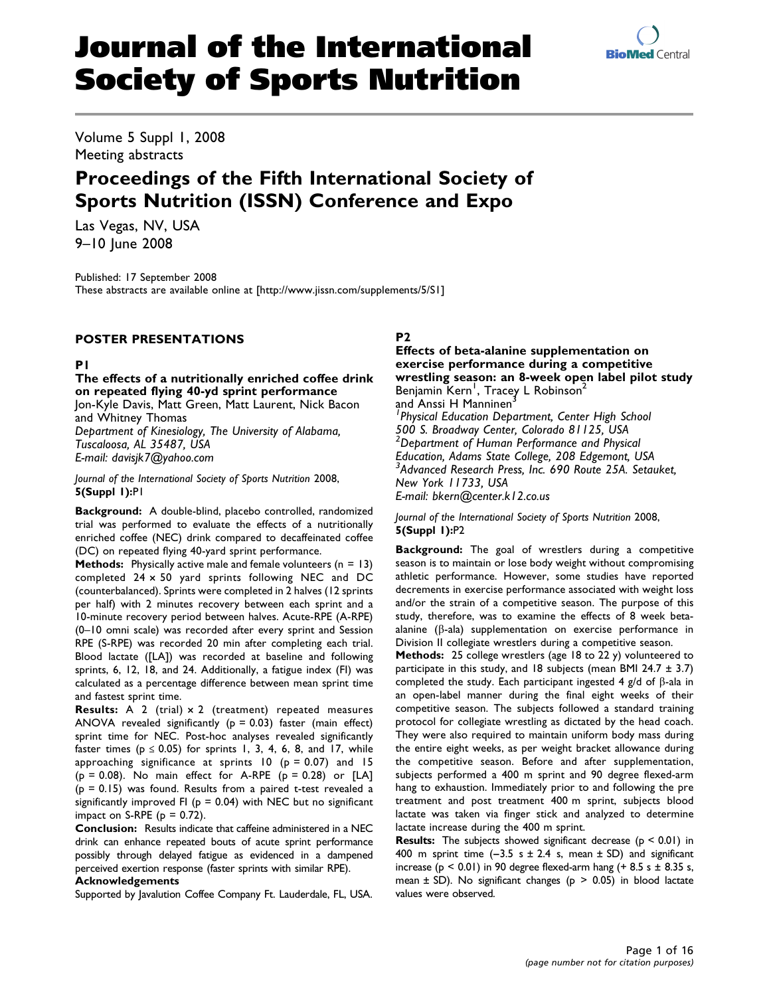# (page number not for citation purposes)

# Journal of the International Society of Sports Nutrition

Volume 5 Suppl 1, 2008 Meeting abstracts

# Proceedings of the Fifth International Society of Sports Nutrition (ISSN) Conference and Expo

Las Vegas, NV, USA 9–10 June 2008

Published: 17 September 2008 These abstracts are available online at [http://www.jissn.com/supplements/5/S1]

# POSTER PRESENTATIONS

# P1

The effects of a nutritionally enriched coffee drink on repeated flying 40-yd sprint performance Jon-Kyle Davis, Matt Green, Matt Laurent, Nick Bacon and Whitney Thomas Department of Kinesiology, The University of Alabama, Tuscaloosa, AL 35487, USA E-mail: davisjk7@yahoo.com

Journal of the International Society of Sports Nutrition 2008, 5(Suppl 1):P1

Background: A double-blind, placebo controlled, randomized trial was performed to evaluate the effects of a nutritionally enriched coffee (NEC) drink compared to decaffeinated coffee (DC) on repeated flying 40-yard sprint performance.

**Methods:** Physically active male and female volunteers ( $n = 13$ ) completed 24 × 50 yard sprints following NEC and DC (counterbalanced). Sprints were completed in 2 halves (12 sprints per half) with 2 minutes recovery between each sprint and a 10-minute recovery period between halves. Acute-RPE (A-RPE) (0–10 omni scale) was recorded after every sprint and Session RPE (S-RPE) was recorded 20 min after completing each trial. Blood lactate ([LA]) was recorded at baseline and following sprints, 6, 12, 18, and 24. Additionally, a fatigue index (FI) was calculated as a percentage difference between mean sprint time and fastest sprint time.

**Results:** A 2 (trial)  $\times$  2 (treatment) repeated measures ANOVA revealed significantly ( $p = 0.03$ ) faster (main effect) sprint time for NEC. Post-hoc analyses revealed significantly faster times ( $p \le 0.05$ ) for sprints 1, 3, 4, 6, 8, and 17, while approaching significance at sprints  $10$  (p = 0.07) and 15  $(p = 0.08)$ . No main effect for A-RPE  $(p = 0.28)$  or [LA]  $(p = 0.15)$  was found. Results from a paired t-test revealed a significantly improved FI ( $p = 0.04$ ) with NEC but no significant impact on S-RPE ( $p = 0.72$ ).

Conclusion: Results indicate that caffeine administered in a NEC drink can enhance repeated bouts of acute sprint performance possibly through delayed fatigue as evidenced in a dampened perceived exertion response (faster sprints with similar RPE).

# Acknowledgements

Supported by Javalution Coffee Company Ft. Lauderdale, FL, USA.

# P2

# Effects of beta-alanine supplementation on exercise performance during a competitive wrestling season: an 8-week open label pilot study Benjamin Kern<sup>1</sup>, Tracey L Robinson<sup>2</sup>

and Anssi H Manninen3

<sup>1</sup> Physical Education Department, Center High School 500 S. Broadway Center, Colorado 81125, USA <sup>2</sup> Department of Human Performance and Physical Education, Adams State College, 208 Edgemont, USA <sup>3</sup> <sup>3</sup>Advanced Research Press, Inc. 690 Route 25A. Setauket, New York 11733, USA E-mail: bkern@center.k12.co.us

Journal of the International Society of Sports Nutrition 2008, 5(Suppl 1):P2

Background: The goal of wrestlers during a competitive season is to maintain or lose body weight without compromising athletic performance. However, some studies have reported decrements in exercise performance associated with weight loss and/or the strain of a competitive season. The purpose of this study, therefore, was to examine the effects of 8 week betaalanine ( $\beta$ -ala) supplementation on exercise performance in Division II collegiate wrestlers during a competitive season.

Methods: 25 college wrestlers (age 18 to 22 y) volunteered to participate in this study, and 18 subjects (mean BMI 24.7  $\pm$  3.7) completed the study. Each participant ingested 4  $g/d$  of  $\beta$ -ala in an open-label manner during the final eight weeks of their competitive season. The subjects followed a standard training protocol for collegiate wrestling as dictated by the head coach. They were also required to maintain uniform body mass during the entire eight weeks, as per weight bracket allowance during the competitive season. Before and after supplementation, subjects performed a 400 m sprint and 90 degree flexed-arm hang to exhaustion. Immediately prior to and following the pre treatment and post treatment 400 m sprint, subjects blood lactate was taken via finger stick and analyzed to determine lactate increase during the 400 m sprint.

**Results:** The subjects showed significant decrease  $(p < 0.01)$  in 400 m sprint time  $(-3.5 \text{ s} \pm 2.4 \text{ s}$ , mean  $\pm$  SD) and significant increase ( $p < 0.01$ ) in 90 degree flexed-arm hang (+ 8.5 s  $\pm$  8.35 s, mean  $\pm$  SD). No significant changes ( $p > 0.05$ ) in blood lactate values were observed.

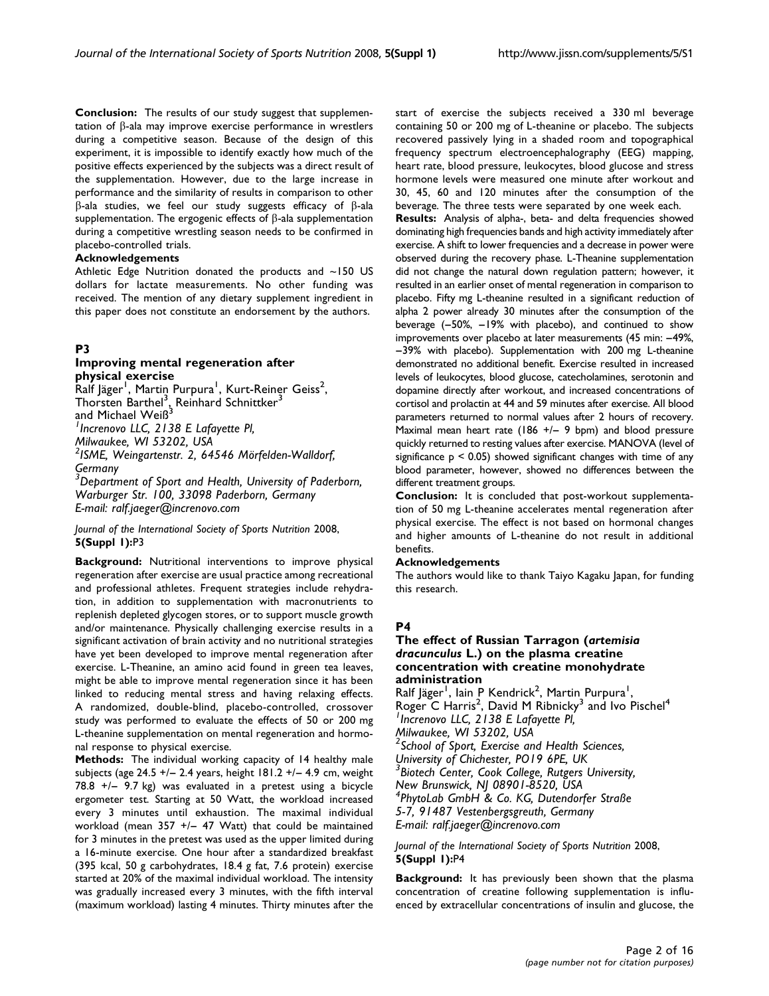Conclusion: The results of our study suggest that supplementation of  $\beta$ -ala may improve exercise performance in wrestlers during a competitive season. Because of the design of this experiment, it is impossible to identify exactly how much of the positive effects experienced by the subjects was a direct result of the supplementation. However, due to the large increase in performance and the similarity of results in comparison to other b-ala studies, we feel our study suggests efficacy of b-ala supplementation. The ergogenic effects of  $\beta$ -ala supplementation during a competitive wrestling season needs to be confirmed in placebo-controlled trials.

#### Acknowledgements

Athletic Edge Nutrition donated the products and ~150 US dollars for lactate measurements. No other funding was received. The mention of any dietary supplement ingredient in this paper does not constitute an endorsement by the authors.

#### P3

#### Improving mental regeneration after physical exercise

Ralf Jäger<sup>1</sup>, Martin Purpura<sup>1</sup>, Kurt-Reiner Geiss<sup>2</sup>, Thorsten Barthel<sup>3</sup>, Reinhard Schnittker<sup>3</sup> and Michael Wei $\mathsf{B}^3$ 1 Increnovo LLC, 2138 E Lafayette Pl, Milwaukee, WI 53202, USA <sup>2</sup>ISME, Weingartenstr. 2, 64546 Mörfelden-Walldorf, Germany

 $^3$ Department of Sport and Health, University of Paderborn, Warburger Str. 100, 33098 Paderborn, Germany E-mail: ralf.jaeger@increnovo.com

Journal of the International Society of Sports Nutrition 2008, 5(Suppl 1):P3

Background: Nutritional interventions to improve physical regeneration after exercise are usual practice among recreational and professional athletes. Frequent strategies include rehydration, in addition to supplementation with macronutrients to replenish depleted glycogen stores, or to support muscle growth and/or maintenance. Physically challenging exercise results in a significant activation of brain activity and no nutritional strategies have yet been developed to improve mental regeneration after exercise. L-Theanine, an amino acid found in green tea leaves, might be able to improve mental regeneration since it has been linked to reducing mental stress and having relaxing effects. A randomized, double-blind, placebo-controlled, crossover study was performed to evaluate the effects of 50 or 200 mg L-theanine supplementation on mental regeneration and hormonal response to physical exercise.

Methods: The individual working capacity of 14 healthy male subjects (age 24.5 +/− 2.4 years, height 181.2 +/− 4.9 cm, weight 78.8 +/− 9.7 kg) was evaluated in a pretest using a bicycle ergometer test. Starting at 50 Watt, the workload increased every 3 minutes until exhaustion. The maximal individual workload (mean 357 +/- 47 Watt) that could be maintained for 3 minutes in the pretest was used as the upper limited during a 16-minute exercise. One hour after a standardized breakfast (395 kcal, 50 g carbohydrates, 18.4 g fat, 7.6 protein) exercise started at 20% of the maximal individual workload. The intensity was gradually increased every 3 minutes, with the fifth interval (maximum workload) lasting 4 minutes. Thirty minutes after the

start of exercise the subjects received a 330 ml beverage containing 50 or 200 mg of L-theanine or placebo. The subjects recovered passively lying in a shaded room and topographical frequency spectrum electroencephalography (EEG) mapping, heart rate, blood pressure, leukocytes, blood glucose and stress hormone levels were measured one minute after workout and 30, 45, 60 and 120 minutes after the consumption of the beverage. The three tests were separated by one week each. Results: Analysis of alpha-, beta- and delta frequencies showed dominating high frequencies bands and high activity immediately after exercise. A shift to lower frequencies and a decrease in power were observed during the recovery phase. L-Theanine supplementation did not change the natural down regulation pattern; however, it resulted in an earlier onset of mental regeneration in comparison to placebo. Fifty mg L-theanine resulted in a significant reduction of alpha 2 power already 30 minutes after the consumption of the beverage (−50%, −19% with placebo), and continued to show improvements over placebo at later measurements (45 min: −49%, −39% with placebo). Supplementation with 200 mg L-theanine demonstrated no additional benefit. Exercise resulted in increased levels of leukocytes, blood glucose, catecholamines, serotonin and dopamine directly after workout, and increased concentrations of cortisol and prolactin at 44 and 59 minutes after exercise. All blood parameters returned to normal values after 2 hours of recovery. Maximal mean heart rate (186 +/− 9 bpm) and blood pressure quickly returned to resting values after exercise. MANOVA (level of significance  $p < 0.05$ ) showed significant changes with time of any blood parameter, however, showed no differences between the different treatment groups.

Conclusion: It is concluded that post-workout supplementation of 50 mg L-theanine accelerates mental regeneration after physical exercise. The effect is not based on hormonal changes and higher amounts of L-theanine do not result in additional benefits.

#### Acknowledgements

The authors would like to thank Taiyo Kagaku Japan, for funding this research.

# **P4**

#### The effect of Russian Tarragon (artemisia dracunculus L.) on the plasma creatine concentration with creatine monohydrate administration

Ralf Jäger<sup>1</sup>, Iain P Kendrick<sup>2</sup>, Martin Purpura<sup>1</sup>, Roger C Harris<sup>2</sup>, David M Ribnicky<sup>3</sup> and Ivo Pischel<sup>4</sup> 1 Increnovo LLC, 2138 E Lafayette Pl, Milwaukee, WI 53202, USA <sup>2</sup> School of Sport, Exercise and Health Sciences, University of Chichester, PO19 6PE, UK <sup>3</sup> Biotech Center, Cook College, Rutgers University, New Brunswick, NJ 08901-8520, USA 4 PhytoLab GmbH & Co. KG, Dutendorfer Straße 5-7, 91487 Vestenbergsgreuth, Germany E-mail: ralf.jaeger@increnovo.com

Journal of the International Society of Sports Nutrition 2008, 5(Suppl 1):P4

Background: It has previously been shown that the plasma concentration of creatine following supplementation is influenced by extracellular concentrations of insulin and glucose, the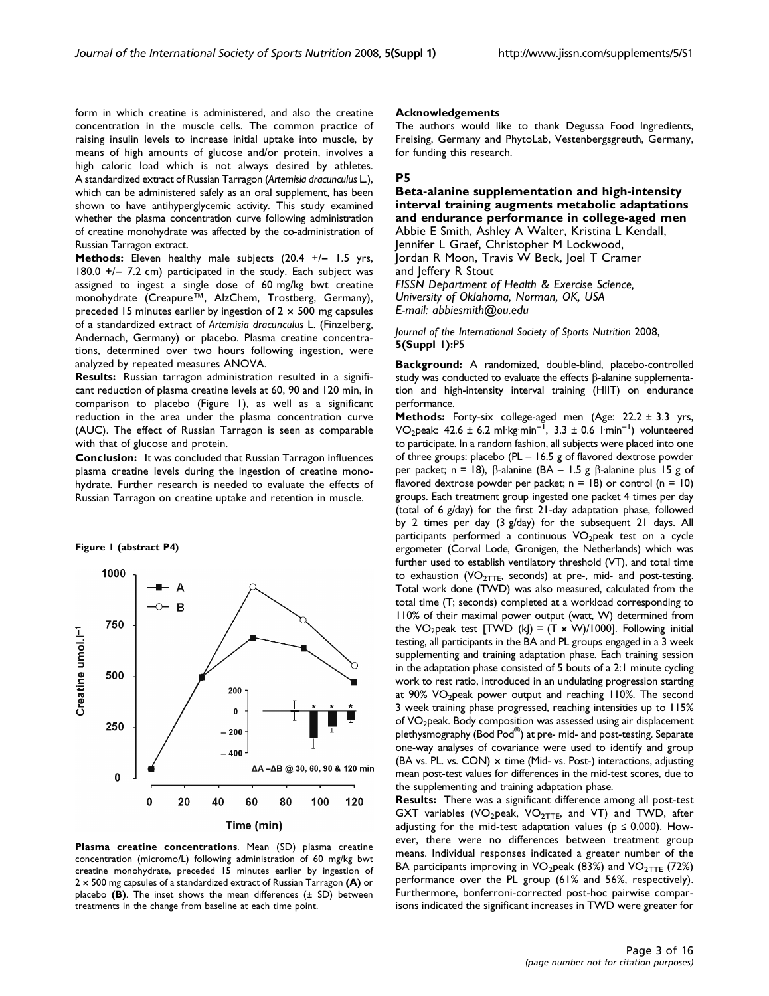form in which creatine is administered, and also the creatine concentration in the muscle cells. The common practice of raising insulin levels to increase initial uptake into muscle, by means of high amounts of glucose and/or protein, involves a high caloric load which is not always desired by athletes. A standardized extract of Russian Tarragon (Artemisia dracunculus L.), which can be administered safely as an oral supplement, has been shown to have antihyperglycemic activity. This study examined whether the plasma concentration curve following administration of creatine monohydrate was affected by the co-administration of Russian Tarragon extract.

Methods: Eleven healthy male subjects (20.4 +/- 1.5 yrs, 180.0 +/− 7.2 cm) participated in the study. Each subject was assigned to ingest a single dose of 60 mg/kg bwt creatine monohydrate (Creapure™, AlzChem, Trostberg, Germany), preceded 15 minutes earlier by ingestion of  $2 \times 500$  mg capsules of a standardized extract of Artemisia dracunculus L. (Finzelberg, Andernach, Germany) or placebo. Plasma creatine concentrations, determined over two hours following ingestion, were analyzed by repeated measures ANOVA.

Results: Russian tarragon administration resulted in a significant reduction of plasma creatine levels at 60, 90 and 120 min, in comparison to placebo (Figure 1), as well as a significant reduction in the area under the plasma concentration curve (AUC). The effect of Russian Tarragon is seen as comparable with that of glucose and protein.

Conclusion: It was concluded that Russian Tarragon influences plasma creatine levels during the ingestion of creatine monohydrate. Further research is needed to evaluate the effects of Russian Tarragon on creatine uptake and retention in muscle.





Plasma creatine concentrations. Mean (SD) plasma creatine concentration (micromo/L) following administration of 60 mg/kg bwt creatine monohydrate, preceded 15 minutes earlier by ingestion of 2 × 500 mg capsules of a standardized extract of Russian Tarragon (A) or placebo (B). The inset shows the mean differences  $(± SD)$  between treatments in the change from baseline at each time point.

#### Acknowledgements

The authors would like to thank Degussa Food Ingredients, Freising, Germany and PhytoLab, Vestenbergsgreuth, Germany, for funding this research.

#### P5

Beta-alanine supplementation and high-intensity interval training augments metabolic adaptations and endurance performance in college-aged men Abbie E Smith, Ashley A Walter, Kristina L Kendall, Jennifer L Graef, Christopher M Lockwood, Jordan R Moon, Travis W Beck, Joel T Cramer and Jeffery R Stout

FISSN Department of Health & Exercise Science, University of Oklahoma, Norman, OK, USA E-mail: abbiesmith@ou.edu

Journal of the International Society of Sports Nutrition 2008, 5(Suppl 1):P5

Background: A randomized, double-blind, placebo-controlled study was conducted to evaluate the effects  $\beta$ -alanine supplementation and high-intensity interval training (HIIT) on endurance performance.

Methods: Forty-six college-aged men (Age: 22.2 ± 3.3 yrs,  $VO<sub>2</sub>peak: 42.6 ± 6.2 ml·kg·min<sup>-1</sup>, 3.3 ± 0.6 l·min<sup>-1</sup>) volunteered$ to participate. In a random fashion, all subjects were placed into one of three groups: placebo (PL – 16.5 g of flavored dextrose powder per packet; n = 18),  $\beta$ -alanine (BA – 1.5 g  $\beta$ -alanine plus 15 g of flavored dextrose powder per packet;  $n = 18$ ) or control ( $n = 10$ ) groups. Each treatment group ingested one packet 4 times per day (total of 6 g/day) for the first 21-day adaptation phase, followed by 2 times per day (3 g/day) for the subsequent 21 days. All participants performed a continuous  $VO<sub>2</sub>peak$  test on a cycle ergometer (Corval Lode, Gronigen, the Netherlands) which was further used to establish ventilatory threshold (VT), and total time to exhaustion ( $VO_{2TTE}$ , seconds) at pre-, mid- and post-testing. Total work done (TWD) was also measured, calculated from the total time (T; seconds) completed at a workload corresponding to 110% of their maximal power output (watt, W) determined from the VO<sub>2</sub>peak test [TWD (kJ) =  $(T \times W)/1000$ ]. Following initial testing, all participants in the BA and PL groups engaged in a 3 week supplementing and training adaptation phase. Each training session in the adaptation phase consisted of 5 bouts of a 2:1 minute cycling work to rest ratio, introduced in an undulating progression starting at 90% VO<sub>2</sub>peak power output and reaching 110%. The second 3 week training phase progressed, reaching intensities up to 115% of VO2peak. Body composition was assessed using air displacement plethysmography (Bod Pod®) at pre- mid- and post-testing. Separate one-way analyses of covariance were used to identify and group (BA vs. PL. vs. CON) × time (Mid- vs. Post-) interactions, adjusting mean post-test values for differences in the mid-test scores, due to the supplementing and training adaptation phase.

Results: There was a significant difference among all post-test GXT variables (VO<sub>2</sub>peak, VO<sub>2TTE</sub>, and VT) and TWD, after adjusting for the mid-test adaptation values ( $p \le 0.000$ ). However, there were no differences between treatment group means. Individual responses indicated a greater number of the BA participants improving in VO<sub>2</sub>peak (83%) and VO<sub>2TTE</sub> (72%) performance over the PL group (61% and 56%, respectively). Furthermore, bonferroni-corrected post-hoc pairwise comparisons indicated the significant increases in TWD were greater for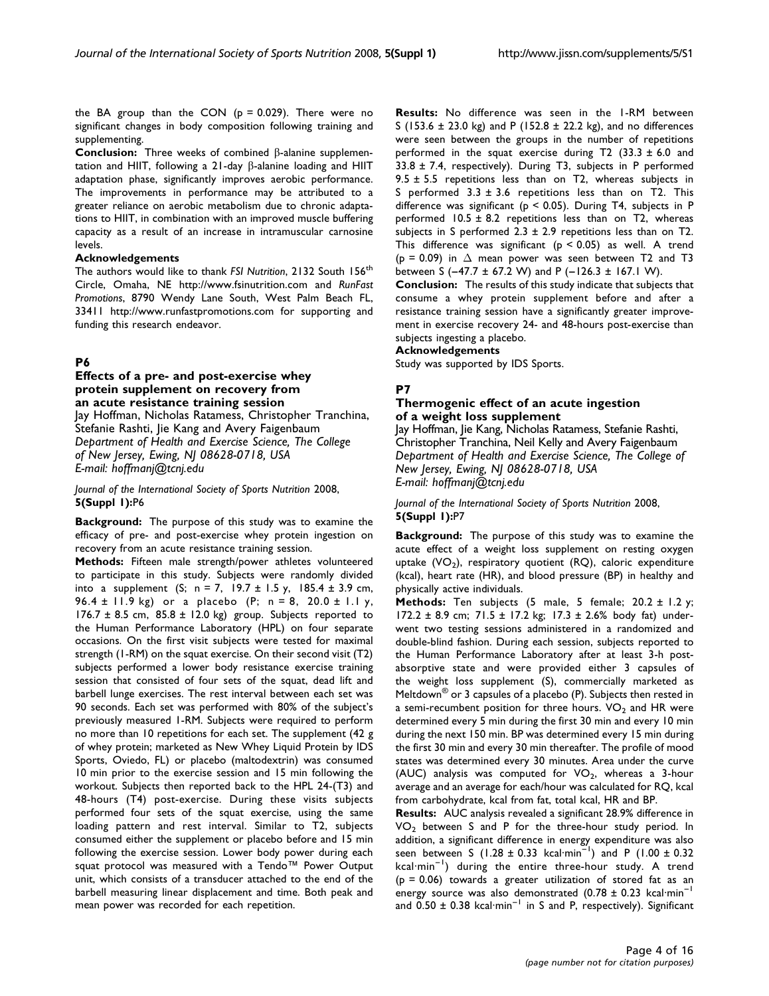the BA group than the CON  $(p = 0.029)$ . There were no significant changes in body composition following training and supplementing.

**Conclusion:** Three weeks of combined  $\beta$ -alanine supplementation and HIIT, following a  $21$ -day  $\beta$ -alanine loading and HIIT adaptation phase, significantly improves aerobic performance. The improvements in performance may be attributed to a greater reliance on aerobic metabolism due to chronic adaptations to HIIT, in combination with an improved muscle buffering capacity as a result of an increase in intramuscular carnosine levels.

#### Acknowledgements

The authors would like to thank FSI Nutrition, 2132 South 156<sup>th</sup> Circle, Omaha, NE http://www.fsinutrition.com and RunFast Promotions, 8790 Wendy Lane South, West Palm Beach FL, 33411 http://www.runfastpromotions.com for supporting and funding this research endeavor.

# P6

# Effects of a pre- and post-exercise whey protein supplement on recovery from an acute resistance training session

Jay Hoffman, Nicholas Ratamess, Christopher Tranchina, Stefanie Rashti, Jie Kang and Avery Faigenbaum Department of Health and Exercise Science, The College of New Jersey, Ewing, NJ 08628-0718, USA E-mail: hoffmanj@tcnj.edu

Journal of the International Society of Sports Nutrition 2008, 5(Suppl 1):P6

Background: The purpose of this study was to examine the efficacy of pre- and post-exercise whey protein ingestion on recovery from an acute resistance training session.

Methods: Fifteen male strength/power athletes volunteered to participate in this study. Subjects were randomly divided into a supplement (S;  $n = 7$ , 19.7 ± 1.5 y, 185.4 ± 3.9 cm, 96.4 ± 11.9 kg) or a placebo (P;  $n = 8$ , 20.0 ± 1.1 y, 176.7  $\pm$  8.5 cm, 85.8  $\pm$  12.0 kg) group. Subjects reported to the Human Performance Laboratory (HPL) on four separate occasions. On the first visit subjects were tested for maximal strength (1-RM) on the squat exercise. On their second visit (T2) subjects performed a lower body resistance exercise training session that consisted of four sets of the squat, dead lift and barbell lunge exercises. The rest interval between each set was 90 seconds. Each set was performed with 80% of the subject's previously measured 1-RM. Subjects were required to perform no more than 10 repetitions for each set. The supplement (42 g of whey protein; marketed as New Whey Liquid Protein by IDS Sports, Oviedo, FL) or placebo (maltodextrin) was consumed 10 min prior to the exercise session and 15 min following the workout. Subjects then reported back to the HPL 24-(T3) and 48-hours (T4) post-exercise. During these visits subjects performed four sets of the squat exercise, using the same loading pattern and rest interval. Similar to T2, subjects consumed either the supplement or placebo before and 15 min following the exercise session. Lower body power during each squat protocol was measured with a Tendo™ Power Output unit, which consists of a transducer attached to the end of the barbell measuring linear displacement and time. Both peak and mean power was recorded for each repetition.

Results: No difference was seen in the 1-RM between S (153.6  $\pm$  23.0 kg) and P (152.8  $\pm$  22.2 kg), and no differences were seen between the groups in the number of repetitions performed in the squat exercise during T2  $(33.3 \pm 6.0 \text{ and} \text{)}$  $33.8 \pm 7.4$ , respectively). During T3, subjects in P performed  $9.5 \pm 5.5$  repetitions less than on T2, whereas subjects in S performed  $3.3 \pm 3.6$  repetitions less than on T2. This difference was significant ( $p < 0.05$ ). During T4, subjects in P performed  $10.5 \pm 8.2$  repetitions less than on T2, whereas subjects in S performed 2.3  $\pm$  2.9 repetitions less than on T2. This difference was significant ( $p < 0.05$ ) as well. A trend (p = 0.09) in  $\triangle$  mean power was seen between T2 and T3 between S (−47.7 ± 67.2 W) and P (−126.3 ± 167.1 W).

Conclusion: The results of this study indicate that subjects that consume a whey protein supplement before and after a resistance training session have a significantly greater improvement in exercise recovery 24- and 48-hours post-exercise than subjects ingesting a placebo.

#### Acknowledgements

Study was supported by IDS Sports.

# **P7**

#### Thermogenic effect of an acute ingestion of a weight loss supplement

Jay Hoffman, Jie Kang, Nicholas Ratamess, Stefanie Rashti, Christopher Tranchina, Neil Kelly and Avery Faigenbaum Department of Health and Exercise Science, The College of New Jersey, Ewing, NJ 08628-0718, USA E-mail: hoffmanj@tcnj.edu

Journal of the International Society of Sports Nutrition 2008, 5(Suppl 1):P7

Background: The purpose of this study was to examine the acute effect of a weight loss supplement on resting oxygen uptake  $(VO<sub>2</sub>)$ , respiratory quotient  $(RQ)$ , caloric expenditure (kcal), heart rate (HR), and blood pressure (BP) in healthy and physically active individuals.

Methods: Ten subjects  $(5 \text{ male}, 5 \text{ female}; 20.2 \pm 1.2 \text{ y};$ 172.2 ± 8.9 cm; 71.5 ± 17.2 kg; 17.3 ± 2.6% body fat) underwent two testing sessions administered in a randomized and double-blind fashion. During each session, subjects reported to the Human Performance Laboratory after at least 3-h postabsorptive state and were provided either 3 capsules of the weight loss supplement (S), commercially marketed as Meltdown $^{\circledR}$  or 3 capsules of a placebo (P). Subjects then rested in a semi-recumbent position for three hours.  $VO<sub>2</sub>$  and HR were determined every 5 min during the first 30 min and every 10 min during the next 150 min. BP was determined every 15 min during the first 30 min and every 30 min thereafter. The profile of mood states was determined every 30 minutes. Area under the curve (AUC) analysis was computed for  $VO<sub>2</sub>$ , whereas a 3-hour average and an average for each/hour was calculated for RQ, kcal from carbohydrate, kcal from fat, total kcal, HR and BP.

Results: AUC analysis revealed a significant 28.9% difference in  $VO<sub>2</sub>$  between S and P for the three-hour study period. In addition, a significant difference in energy expenditure was also seen between S (1.28 ± 0.33 kcal·min<sup>-1</sup>) and P (1.00 ± 0.32 kcal·min−<sup>1</sup> ) during the entire three-hour study. A trend  $(p = 0.06)$  towards a greater utilization of stored fat as an energy source was also demonstrated (0.78 ± 0.23 kcal·min<sup>-1</sup> and  $0.50 \pm 0.38$  kcal·min<sup>-1</sup> in S and P, respectively). Significant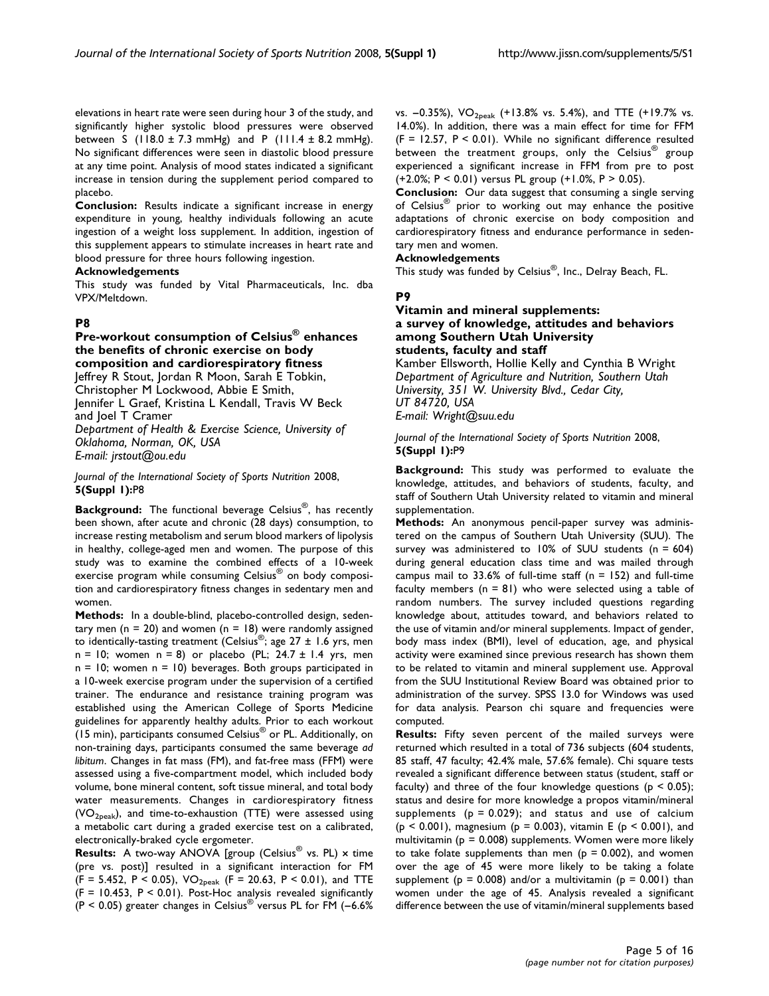elevations in heart rate were seen during hour 3 of the study, and significantly higher systolic blood pressures were observed between S (118.0 ± 7.3 mmHg) and P (111.4 ± 8.2 mmHg). No significant differences were seen in diastolic blood pressure at any time point. Analysis of mood states indicated a significant increase in tension during the supplement period compared to placebo.

Conclusion: Results indicate a significant increase in energy expenditure in young, healthy individuals following an acute ingestion of a weight loss supplement. In addition, ingestion of this supplement appears to stimulate increases in heart rate and blood pressure for three hours following ingestion.

#### Acknowledgements

This study was funded by Vital Pharmaceuticals, Inc. dba VPX/Meltdown.

#### P8

# Pre-workout consumption of Celsius® enhances the benefits of chronic exercise on body composition and cardiorespiratory fitness

Jeffrey R Stout, Jordan R Moon, Sarah E Tobkin,

Christopher M Lockwood, Abbie E Smith, Jennifer L Graef, Kristina L Kendall, Travis W Beck and Joel T Cramer

Department of Health & Exercise Science, University of Oklahoma, Norman, OK, USA E-mail: jrstout@ou.edu

Journal of the International Society of Sports Nutrition 2008,

5(Suppl 1):P8

**Background:** The functional beverage Celsius<sup>®</sup>, has recently been shown, after acute and chronic (28 days) consumption, to increase resting metabolism and serum blood markers of lipolysis in healthy, college-aged men and women. The purpose of this study was to examine the combined effects of a 10-week exercise program while consuming Celsius® on body composition and cardiorespiratory fitness changes in sedentary men and women.

Methods: In a double-blind, placebo-controlled design, sedentary men ( $n = 20$ ) and women ( $n = 18$ ) were randomly assigned to identically-tasting treatment (Celsius<sup>®</sup>; age  $27 \pm 1.6$  yrs, men  $n = 10$ ; women  $n = 8$ ) or placebo (PL; 24.7  $\pm$  1.4 yrs, men  $n = 10$ ; women  $n = 10$ ) beverages. Both groups participated in a 10-week exercise program under the supervision of a certified trainer. The endurance and resistance training program was established using the American College of Sports Medicine guidelines for apparently healthy adults. Prior to each workout (15 min), participants consumed Celsius® or PL. Additionally, on non-training days, participants consumed the same beverage ad libitum. Changes in fat mass (FM), and fat-free mass (FFM) were assessed using a five-compartment model, which included body volume, bone mineral content, soft tissue mineral, and total body water measurements. Changes in cardiorespiratory fitness  $(VO<sub>2peak</sub>)$ , and time-to-exhaustion (TTE) were assessed using a metabolic cart during a graded exercise test on a calibrated, electronically-braked cycle ergometer.

**Results:** A two-way ANOVA [group (Celsius<sup>®</sup> vs. PL)  $\times$  time (pre vs. post)] resulted in a significant interaction for FM  $(F = 5.452, P < 0.05)$ ,  $VO_{2peak}$   $(F = 20.63, P < 0.01)$ , and TTE  $(F = 10.453, P < 0.01)$ . Post-Hoc analysis revealed significantly (P < 0.05) greater changes in Celsius® versus PL for FM (−6.6%

vs. -0.35%), VO<sub>2peak</sub> (+13.8% vs. 5.4%), and TTE (+19.7% vs. 14.0%). In addition, there was a main effect for time for FFM  $(F = 12.57, P < 0.01)$ . While no significant difference resulted between the treatment groups, only the Celsius<sup>®</sup> group experienced a significant increase in FFM from pre to post (+2.0%; P < 0.01) versus PL group (+1.0%, P > 0.05).

Conclusion: Our data suggest that consuming a single serving of Celsius® prior to working out may enhance the positive adaptations of chronic exercise on body composition and cardiorespiratory fitness and endurance performance in sedentary men and women.

#### Acknowledgements

This study was funded by Celsius®, Inc., Delray Beach, FL.

# P9

# Vitamin and mineral supplements: a survey of knowledge, attitudes and behaviors among Southern Utah University students, faculty and staff

Kamber Ellsworth, Hollie Kelly and Cynthia B Wright Department of Agriculture and Nutrition, Southern Utah University, 351 W. University Blvd., Cedar City, UT 84720, USA E-mail: Wright@suu.edu

Journal of the International Society of Sports Nutrition 2008, 5(Suppl 1):P9

Background: This study was performed to evaluate the knowledge, attitudes, and behaviors of students, faculty, and staff of Southern Utah University related to vitamin and mineral supplementation.

Methods: An anonymous pencil-paper survey was administered on the campus of Southern Utah University (SUU). The survey was administered to  $10\%$  of SUU students (n = 604) during general education class time and was mailed through campus mail to 33.6% of full-time staff  $(n = 152)$  and full-time faculty members ( $n = 81$ ) who were selected using a table of random numbers. The survey included questions regarding knowledge about, attitudes toward, and behaviors related to the use of vitamin and/or mineral supplements. Impact of gender, body mass index (BMI), level of education, age, and physical activity were examined since previous research has shown them to be related to vitamin and mineral supplement use. Approval from the SUU Institutional Review Board was obtained prior to administration of the survey. SPSS 13.0 for Windows was used for data analysis. Pearson chi square and frequencies were computed.

Results: Fifty seven percent of the mailed surveys were returned which resulted in a total of 736 subjects (604 students, 85 staff, 47 faculty; 42.4% male, 57.6% female). Chi square tests revealed a significant difference between status (student, staff or faculty) and three of the four knowledge questions ( $p < 0.05$ ); status and desire for more knowledge a propos vitamin/mineral supplements ( $p = 0.029$ ); and status and use of calcium (p < 0.001), magnesium (p = 0.003), vitamin E (p < 0.001), and multivitamin (p = 0.008) supplements. Women were more likely to take folate supplements than men ( $p = 0.002$ ), and women over the age of 45 were more likely to be taking a folate supplement ( $p = 0.008$ ) and/or a multivitamin ( $p = 0.001$ ) than women under the age of 45. Analysis revealed a significant difference between the use of vitamin/mineral supplements based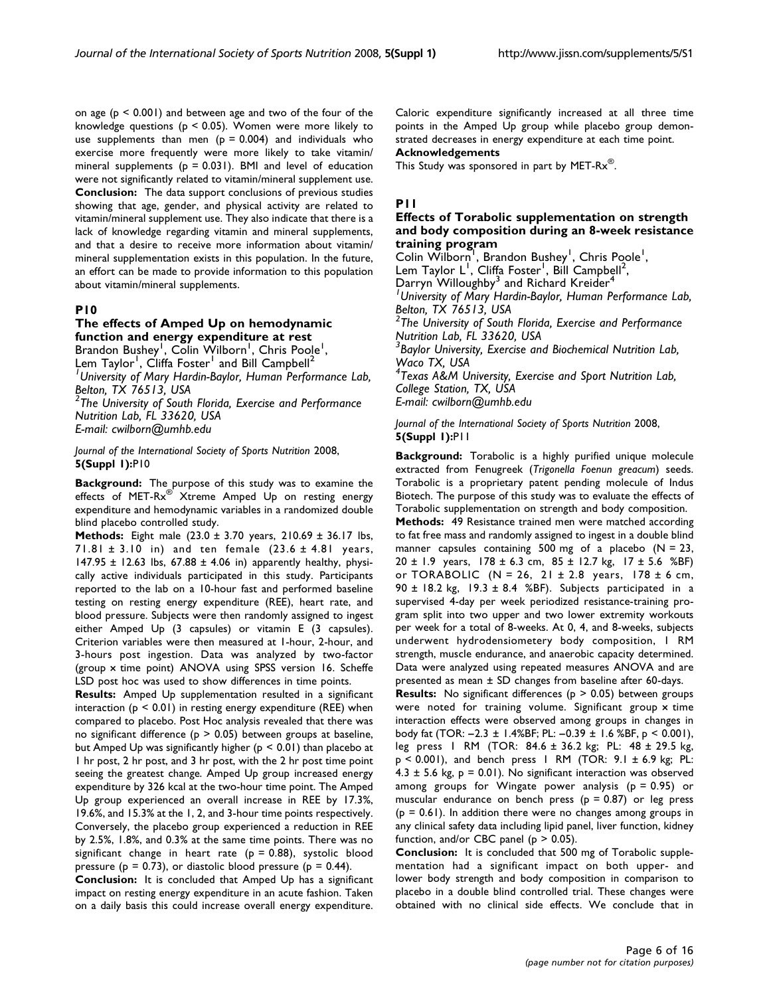on age  $(p < 0.001)$  and between age and two of the four of the knowledge questions (p < 0.05). Women were more likely to use supplements than men ( $p = 0.004$ ) and individuals who exercise more frequently were more likely to take vitamin/ mineral supplements ( $p = 0.031$ ). BMI and level of education were not significantly related to vitamin/mineral supplement use. Conclusion: The data support conclusions of previous studies showing that age, gender, and physical activity are related to vitamin/mineral supplement use. They also indicate that there is a lack of knowledge regarding vitamin and mineral supplements, and that a desire to receive more information about vitamin/ mineral supplementation exists in this population. In the future, an effort can be made to provide information to this population about vitamin/mineral supplements.

# P10

# The effects of Amped Up on hemodynamic function and energy expenditure at rest

Brandon Bushey<sup>1</sup>, Colin Wilborn<sup>1</sup>, Chris Poole<sup>1</sup>, Lem Taylor<sup>1</sup>, Cliffa Foster<sup>1</sup> and Bill Campbell<sup>2</sup> University of Mary Hardin-Baylor, Human Performance Lab, Belton, TX 76513, USA  $^2$ The University of South Florida, Exercise and Performance Nutrition Lab, FL 33620, USA E-mail: cwilborn@umhb.edu

Journal of the International Society of Sports Nutrition 2008, 5(Suppl 1):P10

Background: The purpose of this study was to examine the effects of MET-Rx<sup>®</sup> Xtreme Amped Up on resting energy expenditure and hemodynamic variables in a randomized double blind placebo controlled study.

**Methods:** Eight male  $(23.0 \pm 3.70 \text{ years}, 210.69 \pm 36.17 \text{ lbs},$  $71.81 \pm 3.10$  in) and ten female  $(23.6 \pm 4.81$  years, 147.95  $\pm$  12.63 lbs, 67.88  $\pm$  4.06 in) apparently healthy, physically active individuals participated in this study. Participants reported to the lab on a 10-hour fast and performed baseline testing on resting energy expenditure (REE), heart rate, and blood pressure. Subjects were then randomly assigned to ingest either Amped Up (3 capsules) or vitamin E (3 capsules). Criterion variables were then measured at 1-hour, 2-hour, and 3-hours post ingestion. Data was analyzed by two-factor (group × time point) ANOVA using SPSS version 16. Scheffe LSD post hoc was used to show differences in time points.

Results: Amped Up supplementation resulted in a significant interaction ( $p < 0.01$ ) in resting energy expenditure (REE) when compared to placebo. Post Hoc analysis revealed that there was no significant difference ( $p > 0.05$ ) between groups at baseline, but Amped Up was significantly higher (p < 0.01) than placebo at 1 hr post, 2 hr post, and 3 hr post, with the 2 hr post time point seeing the greatest change. Amped Up group increased energy expenditure by 326 kcal at the two-hour time point. The Amped Up group experienced an overall increase in REE by 17.3%, 19.6%, and 15.3% at the 1, 2, and 3-hour time points respectively. Conversely, the placebo group experienced a reduction in REE by 2.5%, 1.8%, and 0.3% at the same time points. There was no significant change in heart rate ( $p = 0.88$ ), systolic blood pressure ( $p = 0.73$ ), or diastolic blood pressure ( $p = 0.44$ ).

Conclusion: It is concluded that Amped Up has a significant impact on resting energy expenditure in an acute fashion. Taken on a daily basis this could increase overall energy expenditure.

Caloric expenditure significantly increased at all three time points in the Amped Up group while placebo group demonstrated decreases in energy expenditure at each time point. Acknowledgements

This Study was sponsored in part by MET- $Rx^{\circledR}$ .

# P11

# Effects of Torabolic supplementation on strength and body composition during an 8-week resistance training program

Colin Wilborn<sup>1</sup>, Brandon Bushey<sup>1</sup>, Chris Poole<sup>1</sup>, Lem Taylor L<sup>1</sup>, Cliffa Foster<sup>1</sup>, Bill Campbell<sup>2</sup>, Darryn Willoughby<sup>3</sup> and Richard Kreider<sup>4</sup> 1 University of Mary Hardin-Baylor, Human Performance Lab, Belton, TX 76513, USA  $^{2}$ The University of South Florida, Exercise and Performance Nutrition Lab, FL 33620, USA  ${}^{3}$ Baylor University, Exercise and Biochemical Nutrition Lab, Waco TX, USA 4 Texas A&M University, Exercise and Sport Nutrition Lab, College Station, TX, USA E-mail: cwilborn@umhb.edu

Journal of the International Society of Sports Nutrition 2008, 5(Suppl 1):P11

Background: Torabolic is a highly purified unique molecule extracted from Fenugreek (Trigonella Foenun greacum) seeds. Torabolic is a proprietary patent pending molecule of Indus Biotech. The purpose of this study was to evaluate the effects of Torabolic supplementation on strength and body composition.

Methods: 49 Resistance trained men were matched according to fat free mass and randomly assigned to ingest in a double blind manner capsules containing 500 mg of a placebo  $(N = 23,$ 20 ± 1.9 years,  $178 \pm 6.3$  cm,  $85 \pm 12.7$  kg,  $17 \pm 5.6$  %BF) or TORABOLIC (N = 26, 21 ± 2.8 years,  $178 \pm 6$  cm, 90  $\pm$  18.2 kg, 19.3  $\pm$  8.4 %BF). Subjects participated in a supervised 4-day per week periodized resistance-training program split into two upper and two lower extremity workouts per week for a total of 8-weeks. At 0, 4, and 8-weeks, subjects underwent hydrodensiometery body composition, 1 RM strength, muscle endurance, and anaerobic capacity determined. Data were analyzed using repeated measures ANOVA and are presented as mean ± SD changes from baseline after 60-days.

**Results:** No significant differences ( $p > 0.05$ ) between groups were noted for training volume. Significant group × time interaction effects were observed among groups in changes in body fat (TOR: −2.3 ± 1.4%BF; PL: −0.39 ± 1.6 %BF, p < 0.001), leg press 1 RM (TOR: 84.6 ± 36.2 kg; PL: 48 ± 29.5 kg,  $p \le 0.001$ ), and bench press 1 RM (TOR: 9.1  $\pm$  6.9 kg; PL:  $4.3 \pm 5.6$  kg,  $p = 0.01$ ). No significant interaction was observed among groups for Wingate power analysis  $(p = 0.95)$  or muscular endurance on bench press ( $p = 0.87$ ) or leg press  $(p = 0.61)$ . In addition there were no changes among groups in any clinical safety data including lipid panel, liver function, kidney function, and/or CBC panel ( $p > 0.05$ ).

Conclusion: It is concluded that 500 mg of Torabolic supplementation had a significant impact on both upper- and lower body strength and body composition in comparison to placebo in a double blind controlled trial. These changes were obtained with no clinical side effects. We conclude that in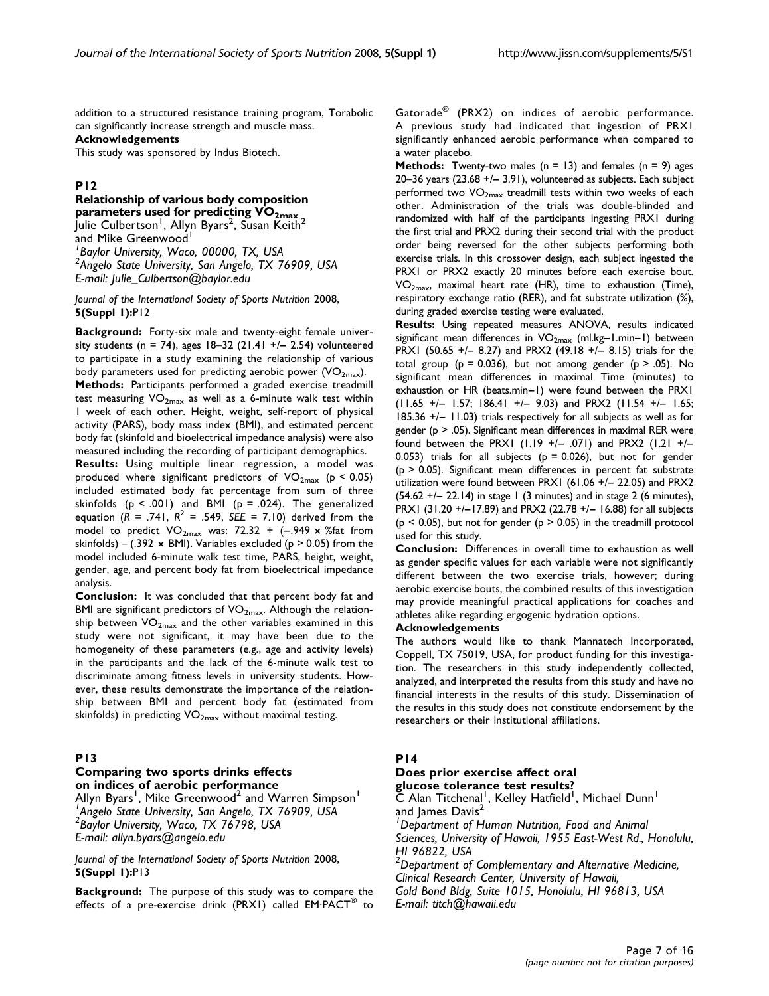addition to a structured resistance training program, Torabolic can significantly increase strength and muscle mass.

# Acknowledgements

This study was sponsored by Indus Biotech.

# P12

# Relationship of various body composition

**parameters used for predicting VO<sub>2max</sub><br>Julie Culbertson<sup>1</sup>, Allyn Byars<sup>2</sup>, Susan Keith<sup>2</sup>** and Mike Greenwood<sup>1</sup><br><sup>1</sup> Baylor University, Waco, 00000, TX, USA <sup>2</sup> Angelo State University, San Angelo, TX 76909, USA E-mail: Julie\_Culbertson@baylor.edu

Journal of the International Society of Sports Nutrition 2008, 5(Suppl 1):P12

Background: Forty-six male and twenty-eight female university students (n = 74), ages  $18-32$  (21.41 +/- 2.54) volunteered to participate in a study examining the relationship of various body parameters used for predicting aerobic power ( $VO<sub>2max</sub>$ ).

Methods: Participants performed a graded exercise treadmill test measuring  $VO<sub>2max</sub>$  as well as a 6-minute walk test within 1 week of each other. Height, weight, self-report of physical activity (PARS), body mass index (BMI), and estimated percent body fat (skinfold and bioelectrical impedance analysis) were also measured including the recording of participant demographics.

Results: Using multiple linear regression, a model was produced where significant predictors of  $VO_{2max}$  (p < 0.05) included estimated body fat percentage from sum of three skinfolds  $(p < .001)$  and BMI  $(p = .024)$ . The generalized equation  $(R = .741, R^2 = .549, SEE = 7.10)$  derived from the model to predict  $VO<sub>2max</sub>$  was: 72.32 + (-.949 × %fat from skinfolds) – (.392  $\times$  BMI). Variables excluded (p  $>$  0.05) from the model included 6-minute walk test time, PARS, height, weight, gender, age, and percent body fat from bioelectrical impedance analysis.

Conclusion: It was concluded that that percent body fat and BMI are significant predictors of  $VO<sub>2max</sub>$ . Although the relationship between  $VO<sub>2max</sub>$  and the other variables examined in this study were not significant, it may have been due to the homogeneity of these parameters (e.g., age and activity levels) in the participants and the lack of the 6-minute walk test to discriminate among fitness levels in university students. However, these results demonstrate the importance of the relationship between BMI and percent body fat (estimated from skinfolds) in predicting  $VO_{2max}$  without maximal testing.

# P13

#### Comparing two sports drinks effects on indices of aerobic performance

Allyn Byars<sup>1</sup>, Mike Greenwood<sup>2</sup> and Warren Simpson<sup>1</sup> Angelo State University, San Angelo, TX 76909, USA  ${}^{2}$ Baylor University, Waco, TX 76798, USA E-mail: allyn.byars@angelo.edu

Journal of the International Society of Sports Nutrition 2008, 5(Suppl 1):P13

Background: The purpose of this study was to compare the effects of a pre-exercise drink (PRX1) called  $EM \cdot PACT^{\otimes}$  to Gatorade<sup>®</sup> (PRX2) on indices of aerobic performance. A previous study had indicated that ingestion of PRX1 significantly enhanced aerobic performance when compared to a water placebo.

**Methods:** Twenty-two males ( $n = 13$ ) and females ( $n = 9$ ) ages 20–36 years (23.68 +/− 3.91), volunteered as subjects. Each subject performed two VO<sub>2max</sub> treadmill tests within two weeks of each other. Administration of the trials was double-blinded and randomized with half of the participants ingesting PRX1 during the first trial and PRX2 during their second trial with the product order being reversed for the other subjects performing both exercise trials. In this crossover design, each subject ingested the PRX1 or PRX2 exactly 20 minutes before each exercise bout.  $VO<sub>2max</sub>$ , maximal heart rate (HR), time to exhaustion (Time), respiratory exchange ratio (RER), and fat substrate utilization (%), during graded exercise testing were evaluated.

Results: Using repeated measures ANOVA, results indicated significant mean differences in VO<sub>2max</sub> (ml.kg-1.min-1) between PRX1 (50.65 +/- 8.27) and PRX2 (49.18 +/- 8.15) trials for the total group ( $p = 0.036$ ), but not among gender ( $p > .05$ ). No significant mean differences in maximal Time (minutes) to exhaustion or HR (beats.min−1) were found between the PRX1 (11.65 +/− 1.57; 186.41 +/− 9.03) and PRX2 (11.54 +/− 1.65; 185.36 +/− 11.03) trials respectively for all subjects as well as for gender (p > .05). Significant mean differences in maximal RER were found between the PRX1 (1.19 +/− .071) and PRX2 (1.21 +/− 0.053) trials for all subjects ( $p = 0.026$ ), but not for gender  $(p > 0.05)$ . Significant mean differences in percent fat substrate utilization were found between PRX1 (61.06 +/− 22.05) and PRX2 (54.62 +/− 22.14) in stage 1 (3 minutes) and in stage 2 (6 minutes), PRX1 (31.20 +/-17.89) and PRX2 (22.78 +/- 16.88) for all subjects  $(p < 0.05)$ , but not for gender  $(p > 0.05)$  in the treadmill protocol used for this study.

Conclusion: Differences in overall time to exhaustion as well as gender specific values for each variable were not significantly different between the two exercise trials, however; during aerobic exercise bouts, the combined results of this investigation may provide meaningful practical applications for coaches and athletes alike regarding ergogenic hydration options.

#### Acknowledgements

The authors would like to thank Mannatech Incorporated, Coppell, TX 75019, USA, for product funding for this investigation. The researchers in this study independently collected, analyzed, and interpreted the results from this study and have no financial interests in the results of this study. Dissemination of the results in this study does not constitute endorsement by the researchers or their institutional affiliations.

#### P14

#### Does prior exercise affect oral glucose tolerance test results?

 $\textsf{C}$  Alan Titchenal<sup>1</sup>, Kelley Hatfield<sup>1</sup>, Michael Dunn<sup>1</sup> and James Davis<sup>2</sup> <sup>1</sup> Department of Human Nutrition, Food and Animal Sciences, University of Hawaii, 1955 East-West Rd., Honolulu,

HI 96822, USA  ${}^{2}$ Department of Complementary and Alternative Medicine,

Clinical Research Center, University of Hawaii, Gold Bond Bldg, Suite 1015, Honolulu, HI 96813, USA E-mail: titch@hawaii.edu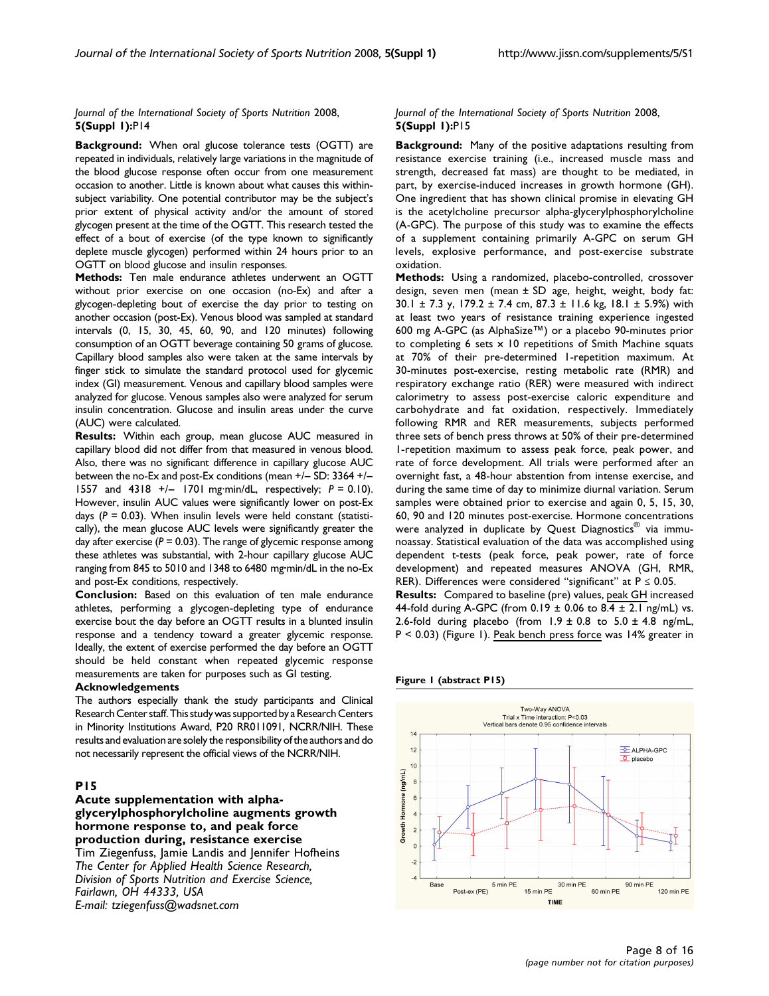Journal of the International Society of Sports Nutrition 2008, 5(Suppl 1):P14

**Background:** When oral glucose tolerance tests (OGTT) are repeated in individuals, relatively large variations in the magnitude of the blood glucose response often occur from one measurement occasion to another. Little is known about what causes this withinsubject variability. One potential contributor may be the subject's prior extent of physical activity and/or the amount of stored glycogen present at the time of the OGTT. This research tested the effect of a bout of exercise (of the type known to significantly deplete muscle glycogen) performed within 24 hours prior to an OGTT on blood glucose and insulin responses.

Methods: Ten male endurance athletes underwent an OGTT without prior exercise on one occasion (no-Ex) and after a glycogen-depleting bout of exercise the day prior to testing on another occasion (post-Ex). Venous blood was sampled at standard intervals (0, 15, 30, 45, 60, 90, and 120 minutes) following consumption of an OGTT beverage containing 50 grams of glucose. Capillary blood samples also were taken at the same intervals by finger stick to simulate the standard protocol used for glycemic index (GI) measurement. Venous and capillary blood samples were analyzed for glucose. Venous samples also were analyzed for serum insulin concentration. Glucose and insulin areas under the curve (AUC) were calculated.

Results: Within each group, mean glucose AUC measured in capillary blood did not differ from that measured in venous blood. Also, there was no significant difference in capillary glucose AUC between the no-Ex and post-Ex conditions (mean +/− SD: 3364 +/− 1557 and 4318 +/− 1701 mg·min/dL, respectively; P = 0.10). However, insulin AUC values were significantly lower on post-Ex days ( $P = 0.03$ ). When insulin levels were held constant (statistically), the mean glucose AUC levels were significantly greater the day after exercise ( $P = 0.03$ ). The range of glycemic response among these athletes was substantial, with 2-hour capillary glucose AUC ranging from 845 to 5010 and 1348 to 6480 mg·min/dL in the no-Ex and post-Ex conditions, respectively.

Conclusion: Based on this evaluation of ten male endurance athletes, performing a glycogen-depleting type of endurance exercise bout the day before an OGTT results in a blunted insulin response and a tendency toward a greater glycemic response. Ideally, the extent of exercise performed the day before an OGTT should be held constant when repeated glycemic response measurements are taken for purposes such as GI testing.

#### Acknowledgements

The authors especially thank the study participants and Clinical Research Center staff. This study was supported by a Research Centers in Minority Institutions Award, P20 RR011091, NCRR/NIH. These results and evaluation are solely the responsibility of the authors and do not necessarily represent the official views of the NCRR/NIH.

#### P15

Acute supplementation with alphaglycerylphosphorylcholine augments growth hormone response to, and peak force production during, resistance exercise Tim Ziegenfuss, Jamie Landis and Jennifer Hofheins The Center for Applied Health Science Research, Division of Sports Nutrition and Exercise Science,

Fairlawn, OH 44333, USA

E-mail: tziegenfuss@wadsnet.com

#### Journal of the International Society of Sports Nutrition 2008, 5(Suppl 1):P15

Background: Many of the positive adaptations resulting from resistance exercise training (i.e., increased muscle mass and strength, decreased fat mass) are thought to be mediated, in part, by exercise-induced increases in growth hormone (GH). One ingredient that has shown clinical promise in elevating GH is the acetylcholine precursor alpha-glycerylphosphorylcholine (A-GPC). The purpose of this study was to examine the effects of a supplement containing primarily A-GPC on serum GH levels, explosive performance, and post-exercise substrate oxidation.

Methods: Using a randomized, placebo-controlled, crossover design, seven men (mean ± SD age, height, weight, body fat: 30.1  $\pm$  7.3 y, 179.2  $\pm$  7.4 cm, 87.3  $\pm$  11.6 kg, 18.1  $\pm$  5.9%) with at least two years of resistance training experience ingested 600 mg A-GPC (as AlphaSize™) or a placebo 90-minutes prior to completing 6 sets  $\times$  10 repetitions of Smith Machine squats at 70% of their pre-determined 1-repetition maximum. At 30-minutes post-exercise, resting metabolic rate (RMR) and respiratory exchange ratio (RER) were measured with indirect calorimetry to assess post-exercise caloric expenditure and carbohydrate and fat oxidation, respectively. Immediately following RMR and RER measurements, subjects performed three sets of bench press throws at 50% of their pre-determined 1-repetition maximum to assess peak force, peak power, and rate of force development. All trials were performed after an overnight fast, a 48-hour abstention from intense exercise, and during the same time of day to minimize diurnal variation. Serum samples were obtained prior to exercise and again 0, 5, 15, 30, 60, 90 and 120 minutes post-exercise. Hormone concentrations were analyzed in duplicate by Quest Diagnostics® via immunoassay. Statistical evaluation of the data was accomplished using dependent t-tests (peak force, peak power, rate of force development) and repeated measures ANOVA (GH, RMR, RER). Differences were considered "significant" at  $P \le 0.05$ .

Results: Compared to baseline (pre) values, peak GH increased 44-fold during A-GPC (from  $0.19 \pm 0.06$  to  $8.4 \pm 2.1$  ng/mL) vs. 2.6-fold during placebo (from  $1.9 \pm 0.8$  to  $5.0 \pm 4.8$  ng/mL, P < 0.03) (Figure 1). Peak bench press force was 14% greater in



# Figure 1 (abstract P15)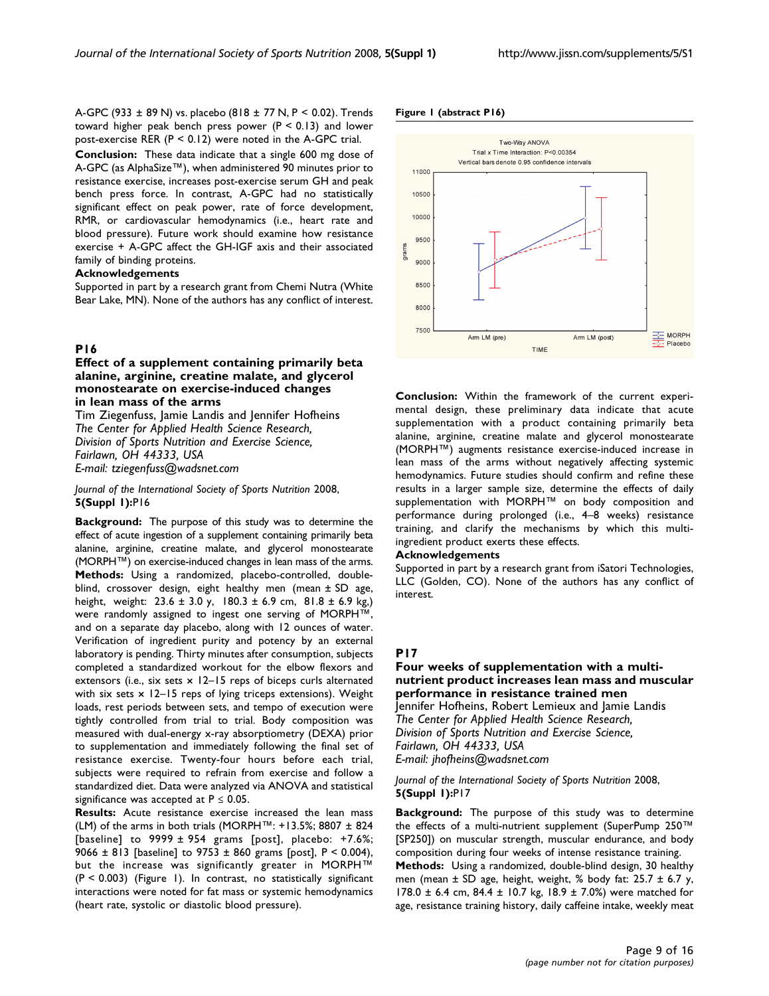A-GPC (933  $\pm$  89 N) vs. placebo (818  $\pm$  77 N, P < 0.02). Trends toward higher peak bench press power (P < 0.13) and lower post-exercise RER (P < 0.12) were noted in the A-GPC trial.

Conclusion: These data indicate that a single 600 mg dose of A-GPC (as AlphaSize™), when administered 90 minutes prior to resistance exercise, increases post-exercise serum GH and peak bench press force. In contrast, A-GPC had no statistically significant effect on peak power, rate of force development, RMR, or cardiovascular hemodynamics (i.e., heart rate and blood pressure). Future work should examine how resistance exercise + A-GPC affect the GH-IGF axis and their associated family of binding proteins.

# Acknowledgements

Supported in part by a research grant from Chemi Nutra (White Bear Lake, MN). None of the authors has any conflict of interest.

#### P16

# Effect of a supplement containing primarily beta alanine, arginine, creatine malate, and glycerol monostearate on exercise-induced changes in lean mass of the arms

Tim Ziegenfuss, Jamie Landis and Jennifer Hofheins The Center for Applied Health Science Research, Division of Sports Nutrition and Exercise Science, Fairlawn, OH 44333, USA

E-mail: tziegenfuss@wadsnet.com

#### Journal of the International Society of Sports Nutrition 2008, 5(Suppl 1):P16

Background: The purpose of this study was to determine the effect of acute ingestion of a supplement containing primarily beta alanine, arginine, creatine malate, and glycerol monostearate (MORPH™) on exercise-induced changes in lean mass of the arms. Methods: Using a randomized, placebo-controlled, doubleblind, crossover design, eight healthy men (mean ± SD age, height, weight: 23.6 ± 3.0 y, 180.3 ± 6.9 cm, 81.8 ± 6.9 kg,) were randomly assigned to ingest one serving of MORPH™, and on a separate day placebo, along with 12 ounces of water. Verification of ingredient purity and potency by an external laboratory is pending. Thirty minutes after consumption, subjects completed a standardized workout for the elbow flexors and extensors (i.e., six sets  $\times$  12-15 reps of biceps curls alternated with six sets × 12–15 reps of lying triceps extensions). Weight loads, rest periods between sets, and tempo of execution were tightly controlled from trial to trial. Body composition was measured with dual-energy x-ray absorptiometry (DEXA) prior to supplementation and immediately following the final set of resistance exercise. Twenty-four hours before each trial, subjects were required to refrain from exercise and follow a standardized diet. Data were analyzed via ANOVA and statistical significance was accepted at  $P \le 0.05$ .

Results: Acute resistance exercise increased the lean mass (LM) of the arms in both trials (MORPH™: +13.5%; 8807  $±$  824 [baseline] to  $9999 \pm 954$  grams [post], placebo: +7.6%; 9066  $\pm$  813 [baseline] to 9753  $\pm$  860 grams [post], P < 0.004), but the increase was significantly greater in MORPH™  $(P < 0.003)$  (Figure 1). In contrast, no statistically significant interactions were noted for fat mass or systemic hemodynamics (heart rate, systolic or diastolic blood pressure).

#### Figure 1 (abstract P16)



Conclusion: Within the framework of the current experimental design, these preliminary data indicate that acute supplementation with a product containing primarily beta alanine, arginine, creatine malate and glycerol monostearate (MORPH™) augments resistance exercise-induced increase in lean mass of the arms without negatively affecting systemic hemodynamics. Future studies should confirm and refine these results in a larger sample size, determine the effects of daily supplementation with MORPH™ on body composition and performance during prolonged (i.e., 4–8 weeks) resistance training, and clarify the mechanisms by which this multiingredient product exerts these effects.

#### Acknowledgements

Supported in part by a research grant from iSatori Technologies, LLC (Golden, CO). None of the authors has any conflict of interest.

# P17

# Four weeks of supplementation with a multinutrient product increases lean mass and muscular performance in resistance trained men

Jennifer Hofheins, Robert Lemieux and Jamie Landis The Center for Applied Health Science Research, Division of Sports Nutrition and Exercise Science, Fairlawn, OH 44333, USA E-mail: jhofheins@wadsnet.com

#### Journal of the International Society of Sports Nutrition 2008, 5(Suppl 1):P17

Background: The purpose of this study was to determine the effects of a multi-nutrient supplement (SuperPump 250™ [SP250]) on muscular strength, muscular endurance, and body composition during four weeks of intense resistance training. Methods: Using a randomized, double-blind design, 30 healthy men (mean  $\pm$  SD age, height, weight, % body fat: 25.7  $\pm$  6.7 y, 178.0  $\pm$  6.4 cm, 84.4  $\pm$  10.7 kg, 18.9  $\pm$  7.0%) were matched for age, resistance training history, daily caffeine intake, weekly meat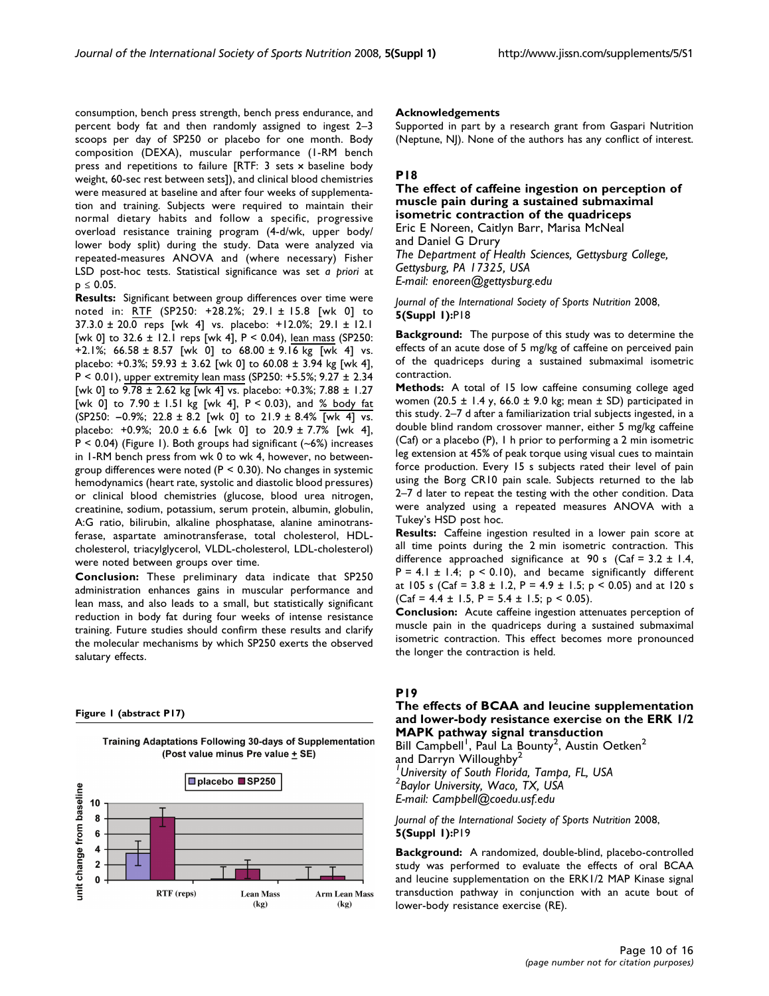consumption, bench press strength, bench press endurance, and percent body fat and then randomly assigned to ingest 2–3 scoops per day of SP250 or placebo for one month. Body composition (DEXA), muscular performance (1-RM bench press and repetitions to failure [RTF: 3 sets × baseline body weight, 60-sec rest between sets]), and clinical blood chemistries were measured at baseline and after four weeks of supplementation and training. Subjects were required to maintain their normal dietary habits and follow a specific, progressive overload resistance training program (4-d/wk, upper body/ lower body split) during the study. Data were analyzed via repeated-measures ANOVA and (where necessary) Fisher LSD post-hoc tests. Statistical significance was set a priori at  $p \leq 0.05$ .

Results: Significant between group differences over time were noted in: RTF (SP250: +28.2%; 29.1 ± 15.8 [wk 0] to 37.3.0 ± 20.0 reps [wk 4] vs. placebo: +12.0%; 29.1 ± 12.1 [wk 0] to 32.6 ± 12.1 reps [wk 4], P < 0.04), lean mass (SP250: +2.1%; 66.58 ± 8.57 [wk 0] to 68.00 ± 9.16 kg [wk 4] vs. placebo: +0.3%; 59.93  $\pm$  3.62 [wk 0] to 60.08  $\pm$  3.94 kg [wk 4], P < 0.01), upper extremity lean mass (SP250: +5.5%; 9.27 ± 2.34 [wk 0] to 9.78 ± 2.62 kg [wk 4] vs. placebo: +0.3%; 7.88 ± 1.27 [wk 0] to 7.90  $\pm$  1.51 kg [wk 4], P < 0.03), and % body fat (SP250: −0.9%; 22.8 ± 8.2 [wk 0] to 21.9 ± 8.4% [wk 4] vs. placebo: +0.9%; 20.0 ± 6.6 [wk 0] to 20.9 ± 7.7% [wk 4],  $P < 0.04$ ) (Figure 1). Both groups had significant (~6%) increases in 1-RM bench press from wk 0 to wk 4, however, no betweengroup differences were noted ( $P < 0.30$ ). No changes in systemic hemodynamics (heart rate, systolic and diastolic blood pressures) or clinical blood chemistries (glucose, blood urea nitrogen, creatinine, sodium, potassium, serum protein, albumin, globulin, A:G ratio, bilirubin, alkaline phosphatase, alanine aminotransferase, aspartate aminotransferase, total cholesterol, HDLcholesterol, triacylglycerol, VLDL-cholesterol, LDL-cholesterol) were noted between groups over time.

Conclusion: These preliminary data indicate that SP250 administration enhances gains in muscular performance and lean mass, and also leads to a small, but statistically significant reduction in body fat during four weeks of intense resistance training. Future studies should confirm these results and clarify the molecular mechanisms by which SP250 exerts the observed salutary effects.

#### Figure 1 (abstract P17)

**Training Adaptations Following 30-days of Supplementation** (Post value minus Pre value + SE)



#### Acknowledgements

Supported in part by a research grant from Gaspari Nutrition (Neptune, NJ). None of the authors has any conflict of interest.

#### P18

# The effect of caffeine ingestion on perception of muscle pain during a sustained submaximal isometric contraction of the quadriceps

Eric E Noreen, Caitlyn Barr, Marisa McNeal and Daniel G Drury The Department of Health Sciences, Gettysburg College, Gettysburg, PA 17325, USA E-mail: enoreen@gettysburg.edu

#### Journal of the International Society of Sports Nutrition 2008, 5(Suppl 1):P18

Background: The purpose of this study was to determine the effects of an acute dose of 5 mg/kg of caffeine on perceived pain of the quadriceps during a sustained submaximal isometric contraction.

Methods: A total of 15 low caffeine consuming college aged women (20.5  $\pm$  1.4 y, 66.0  $\pm$  9.0 kg; mean  $\pm$  SD) participated in this study. 2–7 d after a familiarization trial subjects ingested, in a double blind random crossover manner, either 5 mg/kg caffeine (Caf) or a placebo (P), 1 h prior to performing a 2 min isometric leg extension at 45% of peak torque using visual cues to maintain force production. Every 15 s subjects rated their level of pain using the Borg CR10 pain scale. Subjects returned to the lab 2–7 d later to repeat the testing with the other condition. Data were analyzed using a repeated measures ANOVA with a Tukey's HSD post hoc.

Results: Caffeine ingestion resulted in a lower pain score at all time points during the 2 min isometric contraction. This difference approached significance at 90 s (Caf =  $3.2 \pm 1.4$ ,  $P = 4.1 \pm 1.4$ ;  $p \le 0.10$ ), and became significantly different at 105 s (Caf = 3.8  $\pm$  1.2, P = 4.9  $\pm$  1.5; p < 0.05) and at 120 s  $(Caf = 4.4 \pm 1.5, P = 5.4 \pm 1.5; p < 0.05).$ 

Conclusion: Acute caffeine ingestion attenuates perception of muscle pain in the quadriceps during a sustained submaximal isometric contraction. This effect becomes more pronounced the longer the contraction is held.

#### P19

# The effects of BCAA and leucine supplementation and lower-body resistance exercise on the ERK 1/2 MAPK pathway signal transduction

Bill Campbell<sup>1</sup>, Paul La Bounty<sup>2</sup>, Austin Oetken<sup>2</sup> and Darryn Willoughby<sup>2</sup> 1 University of South Florida, Tampa, FL, USA  ${}^2$ Baylor University, Waco, TX, USA

E-mail: Campbell@coedu.usf.edu

Journal of the International Society of Sports Nutrition 2008, 5(Suppl 1):P19

Background: A randomized, double-blind, placebo-controlled study was performed to evaluate the effects of oral BCAA and leucine supplementation on the ERK1/2 MAP Kinase signal transduction pathway in conjunction with an acute bout of lower-body resistance exercise (RE).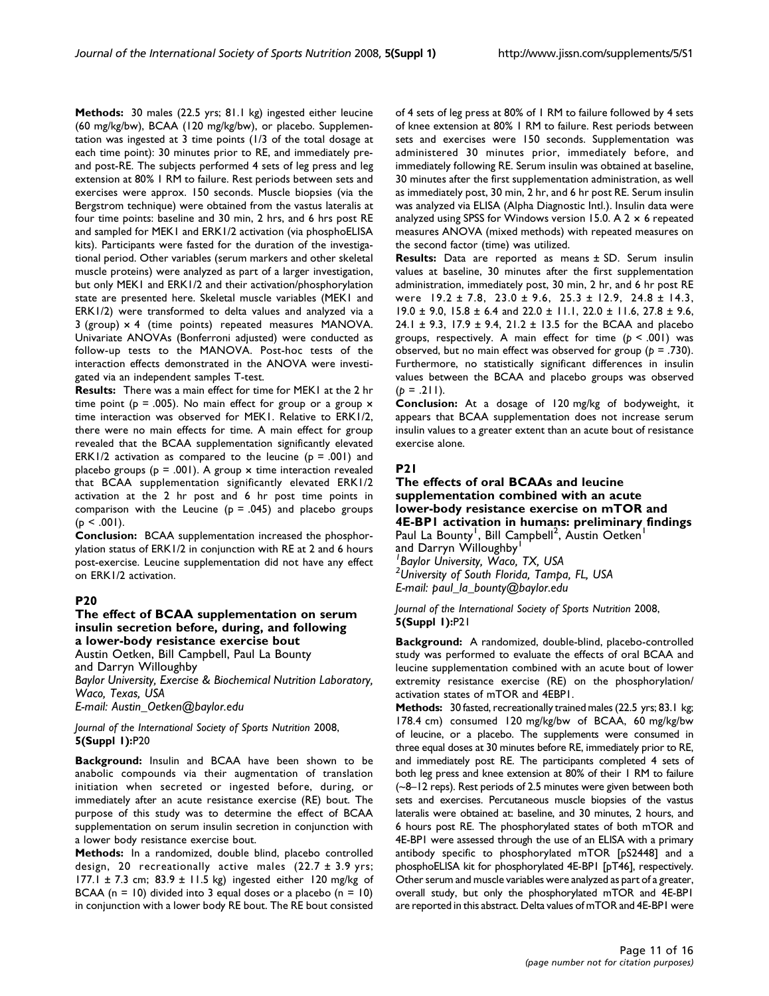Methods: 30 males (22.5 yrs; 81.1 kg) ingested either leucine (60 mg/kg/bw), BCAA (120 mg/kg/bw), or placebo. Supplementation was ingested at 3 time points (1/3 of the total dosage at each time point): 30 minutes prior to RE, and immediately preand post-RE. The subjects performed 4 sets of leg press and leg extension at 80% 1 RM to failure. Rest periods between sets and exercises were approx. 150 seconds. Muscle biopsies (via the Bergstrom technique) were obtained from the vastus lateralis at four time points: baseline and 30 min, 2 hrs, and 6 hrs post RE and sampled for MEK1 and ERK1/2 activation (via phosphoELISA kits). Participants were fasted for the duration of the investigational period. Other variables (serum markers and other skeletal muscle proteins) were analyzed as part of a larger investigation, but only MEK1 and ERK1/2 and their activation/phosphorylation state are presented here. Skeletal muscle variables (MEK1 and ERK1/2) were transformed to delta values and analyzed via a 3 (group) × 4 (time points) repeated measures MANOVA. Univariate ANOVAs (Bonferroni adjusted) were conducted as follow-up tests to the MANOVA. Post-hoc tests of the interaction effects demonstrated in the ANOVA were investigated via an independent samples T-test.

Results: There was a main effect for time for MEK1 at the 2 hr time point ( $p = .005$ ). No main effect for group or a group  $\times$ time interaction was observed for MEK1. Relative to ERK1/2, there were no main effects for time. A main effect for group revealed that the BCAA supplementation significantly elevated ERK1/2 activation as compared to the leucine ( $p = .001$ ) and placebo groups ( $p = .001$ ). A group  $\times$  time interaction revealed that BCAA supplementation significantly elevated ERK1/2 activation at the 2 hr post and 6 hr post time points in comparison with the Leucine ( $p = .045$ ) and placebo groups  $(p < .001)$ .

Conclusion: BCAA supplementation increased the phosphorylation status of ERK1/2 in conjunction with RE at 2 and 6 hours post-exercise. Leucine supplementation did not have any effect on ERK1/2 activation.

# P20

The effect of BCAA supplementation on serum insulin secretion before, during, and following a lower-body resistance exercise bout Austin Oetken, Bill Campbell, Paul La Bounty and Darryn Willoughby Baylor University, Exercise & Biochemical Nutrition Laboratory, Waco, Texas, USA E-mail: Austin\_Oetken@baylor.edu

Journal of the International Society of Sports Nutrition 2008, 5(Suppl 1):P20

Background: Insulin and BCAA have been shown to be anabolic compounds via their augmentation of translation initiation when secreted or ingested before, during, or immediately after an acute resistance exercise (RE) bout. The purpose of this study was to determine the effect of BCAA supplementation on serum insulin secretion in conjunction with a lower body resistance exercise bout.

Methods: In a randomized, double blind, placebo controlled design, 20 recreationally active males  $(22.7 \pm 3.9 \text{ yrs})$ 177.1  $\pm$  7.3 cm; 83.9  $\pm$  11.5 kg) ingested either 120 mg/kg of BCAA ( $n = 10$ ) divided into 3 equal doses or a placebo ( $n = 10$ ) in conjunction with a lower body RE bout. The RE bout consisted

of 4 sets of leg press at 80% of 1 RM to failure followed by 4 sets of knee extension at 80% 1 RM to failure. Rest periods between sets and exercises were 150 seconds. Supplementation was administered 30 minutes prior, immediately before, and immediately following RE. Serum insulin was obtained at baseline, 30 minutes after the first supplementation administration, as well as immediately post, 30 min, 2 hr, and 6 hr post RE. Serum insulin was analyzed via ELISA (Alpha Diagnostic Intl.). Insulin data were analyzed using SPSS for Windows version 15.0. A  $2 \times 6$  repeated measures ANOVA (mixed methods) with repeated measures on the second factor (time) was utilized.

Results: Data are reported as means ± SD. Serum insulin values at baseline, 30 minutes after the first supplementation administration, immediately post, 30 min, 2 hr, and 6 hr post RE were  $19.2 \pm 7.8$ ,  $23.0 \pm 9.6$ ,  $25.3 \pm 12.9$ ,  $24.8 \pm 14.3$ , 19.0  $\pm$  9.0, 15.8  $\pm$  6.4 and 22.0  $\pm$  11.1, 22.0  $\pm$  11.6, 27.8  $\pm$  9.6, 24.1  $\pm$  9.3, 17.9  $\pm$  9.4, 21.2  $\pm$  13.5 for the BCAA and placebo groups, respectively. A main effect for time  $(p < .001)$  was observed, but no main effect was observed for group ( $p = .730$ ). Furthermore, no statistically significant differences in insulin values between the BCAA and placebo groups was observed  $(p = .211)$ .

Conclusion: At a dosage of 120 mg/kg of bodyweight, it appears that BCAA supplementation does not increase serum insulin values to a greater extent than an acute bout of resistance exercise alone.

# P21

The effects of oral BCAAs and leucine supplementation combined with an acute lower-body resistance exercise on mTOR and 4E-BP1 activation in humans: preliminary findings Paul La Bounty<sup>1</sup>, Bill Campbell<sup>2</sup>, Austin Oetken<sup>1</sup> and Darryn Willoughby<sup>1</sup>

1 Baylor University, Waco, TX, USA <sup>2</sup>University of South Florida, Tampa, FL, USA E-mail: paul\_la\_bounty@baylor.edu

# Journal of the International Society of Sports Nutrition 2008, 5(Suppl 1):P21

Background: A randomized, double-blind, placebo-controlled study was performed to evaluate the effects of oral BCAA and leucine supplementation combined with an acute bout of lower extremity resistance exercise (RE) on the phosphorylation/ activation states of mTOR and 4EBP1.

Methods: 30 fasted, recreationally trained males (22.5 yrs; 83.1 kg; 178.4 cm) consumed 120 mg/kg/bw of BCAA, 60 mg/kg/bw of leucine, or a placebo. The supplements were consumed in three equal doses at 30 minutes before RE, immediately prior to RE, and immediately post RE. The participants completed 4 sets of both leg press and knee extension at 80% of their 1 RM to failure (~8–12 reps). Rest periods of 2.5 minutes were given between both sets and exercises. Percutaneous muscle biopsies of the vastus lateralis were obtained at: baseline, and 30 minutes, 2 hours, and 6 hours post RE. The phosphorylated states of both mTOR and 4E-BP1 were assessed through the use of an ELISA with a primary antibody specific to phosphorylated mTOR [pS2448] and a phosphoELISA kit for phosphorylated 4E-BP1 [pT46], respectively. Other serum and muscle variables were analyzed as part of a greater, overall study, but only the phosphorylated mTOR and 4E-BP1 are reported in this abstract. Delta values of mTOR and 4E-BP1 were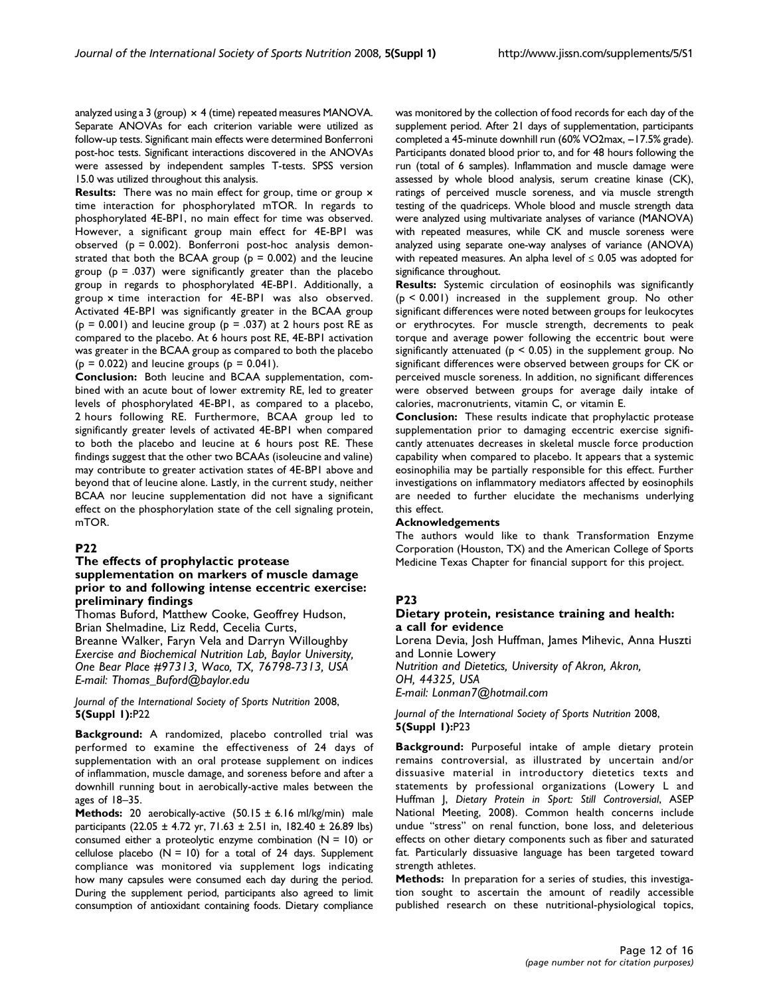analyzed using a 3 (group)  $\times$  4 (time) repeated measures MANOVA. Separate ANOVAs for each criterion variable were utilized as follow-up tests. Significant main effects were determined Bonferroni post-hoc tests. Significant interactions discovered in the ANOVAs were assessed by independent samples T-tests. SPSS version 15.0 was utilized throughout this analysis.

Results: There was no main effect for group, time or group x time interaction for phosphorylated mTOR. In regards to phosphorylated 4E-BP1, no main effect for time was observed. However, a significant group main effect for 4E-BP1 was observed  $(p = 0.002)$ . Bonferroni post-hoc analysis demonstrated that both the BCAA group ( $p = 0.002$ ) and the leucine group ( $p = .037$ ) were significantly greater than the placebo group in regards to phosphorylated 4E-BP1. Additionally, a group × time interaction for 4E-BP1 was also observed. Activated 4E-BP1 was significantly greater in the BCAA group  $(p = 0.001)$  and leucine group  $(p = .037)$  at 2 hours post RE as compared to the placebo. At 6 hours post RE, 4E-BP1 activation was greater in the BCAA group as compared to both the placebo  $(p = 0.022)$  and leucine groups  $(p = 0.041)$ .

Conclusion: Both leucine and BCAA supplementation, combined with an acute bout of lower extremity RE, led to greater levels of phosphorylated 4E-BP1, as compared to a placebo, 2 hours following RE. Furthermore, BCAA group led to significantly greater levels of activated 4E-BP1 when compared to both the placebo and leucine at 6 hours post RE. These findings suggest that the other two BCAAs (isoleucine and valine) may contribute to greater activation states of 4E-BP1 above and beyond that of leucine alone. Lastly, in the current study, neither BCAA nor leucine supplementation did not have a significant effect on the phosphorylation state of the cell signaling protein, mTOR.

#### P22

# The effects of prophylactic protease supplementation on markers of muscle damage prior to and following intense eccentric exercise: preliminary findings

Thomas Buford, Matthew Cooke, Geoffrey Hudson, Brian Shelmadine, Liz Redd, Cecelia Curts, Breanne Walker, Faryn Vela and Darryn Willoughby Exercise and Biochemical Nutrition Lab, Baylor University, One Bear Place #97313, Waco, TX, 76798-7313, USA E-mail: Thomas\_Buford@baylor.edu

# Journal of the International Society of Sports Nutrition 2008, 5(Suppl 1):P22

Background: A randomized, placebo controlled trial was performed to examine the effectiveness of 24 days of supplementation with an oral protease supplement on indices of inflammation, muscle damage, and soreness before and after a downhill running bout in aerobically-active males between the ages of 18–35.

**Methods:** 20 aerobically-active  $(50.15 \pm 6.16 \text{ m}$ l/kg/min) male participants (22.05 ± 4.72 yr, 71.63 ± 2.51 in, 182.40 ± 26.89 lbs) consumed either a proteolytic enzyme combination (N = 10) or cellulose placebo  $(N = 10)$  for a total of 24 days. Supplement compliance was monitored via supplement logs indicating how many capsules were consumed each day during the period. During the supplement period, participants also agreed to limit consumption of antioxidant containing foods. Dietary compliance

was monitored by the collection of food records for each day of the supplement period. After 21 days of supplementation, participants completed a 45-minute downhill run (60% VO2max, −17.5% grade). Participants donated blood prior to, and for 48 hours following the run (total of 6 samples). Inflammation and muscle damage were assessed by whole blood analysis, serum creatine kinase (CK), ratings of perceived muscle soreness, and via muscle strength testing of the quadriceps. Whole blood and muscle strength data were analyzed using multivariate analyses of variance (MANOVA) with repeated measures, while CK and muscle soreness were analyzed using separate one-way analyses of variance (ANOVA) with repeated measures. An alpha level of  $\leq 0.05$  was adopted for significance throughout.

Results: Systemic circulation of eosinophils was significantly (p < 0.001) increased in the supplement group. No other significant differences were noted between groups for leukocytes or erythrocytes. For muscle strength, decrements to peak torque and average power following the eccentric bout were significantly attenuated ( $p < 0.05$ ) in the supplement group. No significant differences were observed between groups for CK or perceived muscle soreness. In addition, no significant differences were observed between groups for average daily intake of calories, macronutrients, vitamin C, or vitamin E.

Conclusion: These results indicate that prophylactic protease supplementation prior to damaging eccentric exercise significantly attenuates decreases in skeletal muscle force production capability when compared to placebo. It appears that a systemic eosinophilia may be partially responsible for this effect. Further investigations on inflammatory mediators affected by eosinophils are needed to further elucidate the mechanisms underlying this effect.

#### Acknowledgements

The authors would like to thank Transformation Enzyme Corporation (Houston, TX) and the American College of Sports Medicine Texas Chapter for financial support for this project.

#### P23

#### Dietary protein, resistance training and health: a call for evidence

Lorena Devia, Josh Huffman, James Mihevic, Anna Huszti and Lonnie Lowery Nutrition and Dietetics, University of Akron, Akron, OH, 44325, USA E-mail: Lonman7@hotmail.com

Journal of the International Society of Sports Nutrition 2008, 5(Suppl 1):P23

Background: Purposeful intake of ample dietary protein remains controversial, as illustrated by uncertain and/or dissuasive material in introductory dietetics texts and statements by professional organizations (Lowery L and Huffman J, Dietary Protein in Sport: Still Controversial, ASEP National Meeting, 2008). Common health concerns include undue "stress" on renal function, bone loss, and deleterious effects on other dietary components such as fiber and saturated fat. Particularly dissuasive language has been targeted toward strength athletes.

Methods: In preparation for a series of studies, this investigation sought to ascertain the amount of readily accessible published research on these nutritional-physiological topics,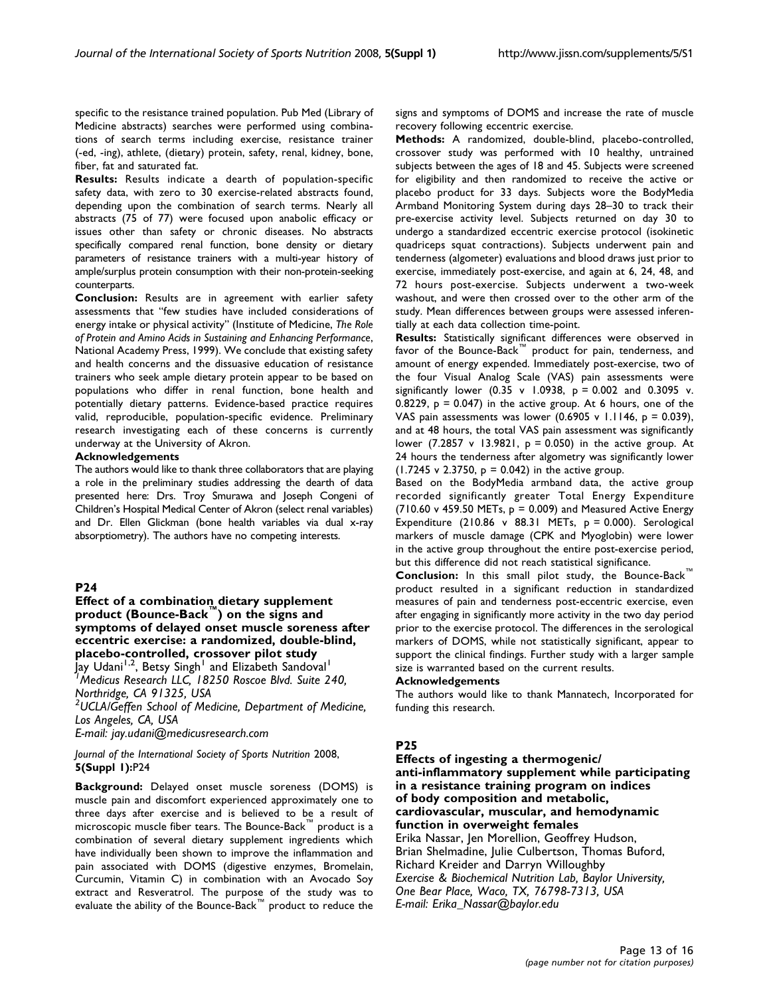specific to the resistance trained population. Pub Med (Library of Medicine abstracts) searches were performed using combinations of search terms including exercise, resistance trainer (-ed, -ing), athlete, (dietary) protein, safety, renal, kidney, bone, fiber, fat and saturated fat.

Results: Results indicate a dearth of population-specific safety data, with zero to 30 exercise-related abstracts found, depending upon the combination of search terms. Nearly all abstracts (75 of 77) were focused upon anabolic efficacy or issues other than safety or chronic diseases. No abstracts specifically compared renal function, bone density or dietary parameters of resistance trainers with a multi-year history of ample/surplus protein consumption with their non-protein-seeking counterparts.

Conclusion: Results are in agreement with earlier safety assessments that "few studies have included considerations of energy intake or physical activity" (Institute of Medicine, The Role of Protein and Amino Acids in Sustaining and Enhancing Performance, National Academy Press, 1999). We conclude that existing safety and health concerns and the dissuasive education of resistance trainers who seek ample dietary protein appear to be based on populations who differ in renal function, bone health and potentially dietary patterns. Evidence-based practice requires valid, reproducible, population-specific evidence. Preliminary research investigating each of these concerns is currently underway at the University of Akron.

#### Acknowledgements

The authors would like to thank three collaborators that are playing a role in the preliminary studies addressing the dearth of data presented here: Drs. Troy Smurawa and Joseph Congeni of Children's Hospital Medical Center of Akron (select renal variables) and Dr. Ellen Glickman (bone health variables via dual x-ray absorptiometry). The authors have no competing interests.

# P24

Effect of a combination dietary supplement product (Bounce-Back™) on the signs and symptoms of delayed onset muscle soreness after eccentric exercise: a randomized, double-blind, placebo-controlled, crossover pilot study 1<br><sup>1</sup> Medicus Research LLC, 18250 Roscoe Blvd. Suite 240,<br><sup>1</sup> Medicus Research LLC, 18250 Roscoe Blvd. Suite 240, Northridge, CA 91325, USA

 $^{2}$ UCLA/Geffen School of Medicine, Department of Medicine, Los Angeles, CA, USA

E-mail: jay.udani@medicusresearch.com

#### Journal of the International Society of Sports Nutrition 2008, 5(Suppl 1):P24

Background: Delayed onset muscle soreness (DOMS) is muscle pain and discomfort experienced approximately one to three days after exercise and is believed to be a result of microscopic muscle fiber tears. The Bounce-Back™ product is a combination of several dietary supplement ingredients which have individually been shown to improve the inflammation and pain associated with DOMS (digestive enzymes, Bromelain, Curcumin, Vitamin C) in combination with an Avocado Soy extract and Resveratrol. The purpose of the study was to evaluate the ability of the Bounce-Back™ product to reduce the

signs and symptoms of DOMS and increase the rate of muscle recovery following eccentric exercise.

Methods: A randomized, double-blind, placebo-controlled, crossover study was performed with 10 healthy, untrained subjects between the ages of 18 and 45. Subjects were screened for eligibility and then randomized to receive the active or placebo product for 33 days. Subjects wore the BodyMedia Armband Monitoring System during days 28–30 to track their pre-exercise activity level. Subjects returned on day 30 to undergo a standardized eccentric exercise protocol (isokinetic quadriceps squat contractions). Subjects underwent pain and tenderness (algometer) evaluations and blood draws just prior to exercise, immediately post-exercise, and again at 6, 24, 48, and 72 hours post-exercise. Subjects underwent a two-week washout, and were then crossed over to the other arm of the study. Mean differences between groups were assessed inferentially at each data collection time-point.

Results: Statistically significant differences were observed in favor of the Bounce-Back™ product for pain, tenderness, and amount of energy expended. Immediately post-exercise, two of the four Visual Analog Scale (VAS) pain assessments were significantly lower (0.35 v 1.0938,  $p = 0.002$  and 0.3095 v. 0.8229,  $p = 0.047$ ) in the active group. At 6 hours, one of the VAS pain assessments was lower (0.6905 v 1.1146,  $p = 0.039$ ), and at 48 hours, the total VAS pain assessment was significantly lower (7.2857 v 13.9821,  $p = 0.050$ ) in the active group. At 24 hours the tenderness after algometry was significantly lower (1.7245 v 2.3750,  $p = 0.042$ ) in the active group.

Based on the BodyMedia armband data, the active group recorded significantly greater Total Energy Expenditure  $(710.60 \text{ v } 459.50 \text{ METs}, p = 0.009)$  and Measured Active Energy Expenditure (210.86 v 88.31 METs,  $p = 0.000$ ). Serological markers of muscle damage (CPK and Myoglobin) were lower in the active group throughout the entire post-exercise period, but this difference did not reach statistical significance.

Conclusion: In this small pilot study, the Bounce-Back™ product resulted in a significant reduction in standardized measures of pain and tenderness post-eccentric exercise, even after engaging in significantly more activity in the two day period prior to the exercise protocol. The differences in the serological markers of DOMS, while not statistically significant, appear to support the clinical findings. Further study with a larger sample size is warranted based on the current results.

#### Acknowledgements

The authors would like to thank Mannatech, Incorporated for funding this research.

#### P25

Effects of ingesting a thermogenic/ anti-inflammatory supplement while participating in a resistance training program on indices of body composition and metabolic, cardiovascular, muscular, and hemodynamic function in overweight females Erika Nassar, Jen Morellion, Geoffrey Hudson, Brian Shelmadine, Julie Culbertson, Thomas Buford, Richard Kreider and Darryn Willoughby Exercise & Biochemical Nutrition Lab, Baylor University, One Bear Place, Waco, TX, 76798-7313, USA E-mail: Erika\_Nassar@baylor.edu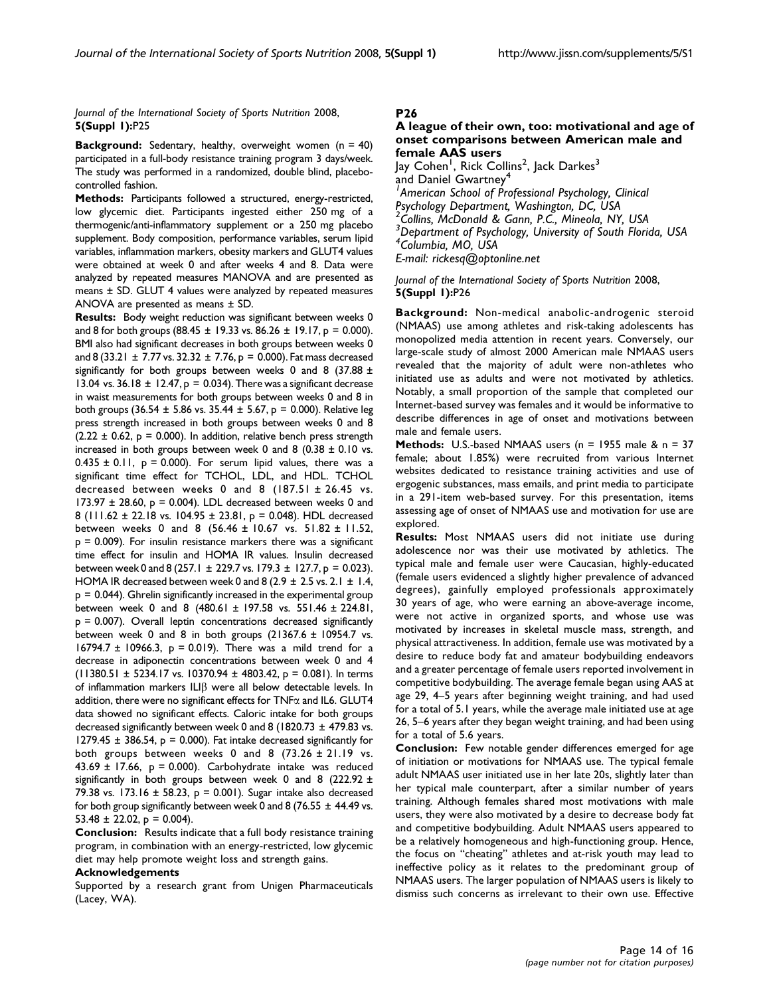Journal of the International Society of Sports Nutrition 2008, 5(Suppl 1):P25

**Background:** Sedentary, healthy, overweight women  $(n = 40)$ participated in a full-body resistance training program 3 days/week. The study was performed in a randomized, double blind, placebocontrolled fashion.

Methods: Participants followed a structured, energy-restricted, low glycemic diet. Participants ingested either 250 mg of a thermogenic/anti-inflammatory supplement or a 250 mg placebo supplement. Body composition, performance variables, serum lipid variables, inflammation markers, obesity markers and GLUT4 values were obtained at week 0 and after weeks 4 and 8. Data were analyzed by repeated measures MANOVA and are presented as means ± SD. GLUT 4 values were analyzed by repeated measures ANOVA are presented as means ± SD.

Results: Body weight reduction was significant between weeks 0 and 8 for both groups (88.45  $\pm$  19.33 vs. 86.26  $\pm$  19.17, p = 0.000). BMI also had significant decreases in both groups between weeks 0 and 8 (33.21  $\pm$  7.77 vs. 32.32  $\pm$  7.76, p = 0.000). Fat mass decreased significantly for both groups between weeks 0 and 8 (37.88  $\pm$ 13.04 vs. 36.18  $\pm$  12.47, p = 0.034). There was a significant decrease in waist measurements for both groups between weeks 0 and 8 in both groups (36.54  $\pm$  5.86 vs. 35.44  $\pm$  5.67, p = 0.000). Relative leg press strength increased in both groups between weeks 0 and 8  $(2.22 \pm 0.62, p = 0.000)$ . In addition, relative bench press strength increased in both groups between week 0 and 8 (0.38  $\pm$  0.10 vs.  $0.435 \pm 0.11$ , p = 0.000). For serum lipid values, there was a significant time effect for TCHOL, LDL, and HDL. TCHOL decreased between weeks 0 and 8 (187.51  $\pm$  26.45 vs. 173.97  $\pm$  28.60,  $p = 0.004$ ). LDL decreased between weeks 0 and 8 (111.62 ± 22.18 vs. 104.95 ± 23.81, p = 0.048). HDL decreased between weeks 0 and 8 (56.46 ± 10.67 vs. 51.82 ± 11.52,  $p = 0.009$ ). For insulin resistance markers there was a significant time effect for insulin and HOMA IR values. Insulin decreased between week 0 and 8 (257.1  $\pm$  229.7 vs. 179.3  $\pm$  127.7, p = 0.023). HOMA IR decreased between week 0 and 8 (2.9  $\pm$  2.5 vs. 2.1  $\pm$  1.4,  $p = 0.044$ ). Ghrelin significantly increased in the experimental group between week 0 and 8 (480.61 ± 197.58 vs. 551.46 ± 224.81,  $p = 0.007$ ). Overall leptin concentrations decreased significantly between week 0 and 8 in both groups  $(21367.6 \pm 10954.7 \text{ vs.})$  $16794.7 \pm 10966.3$ ,  $p = 0.019$ ). There was a mild trend for a decrease in adiponectin concentrations between week 0 and 4  $(11380.51 \pm 5234.17 \text{ vs. } 10370.94 \pm 4803.42, p = 0.081)$ . In terms of inflammation markers  $ILI\beta$  were all below detectable levels. In addition, there were no significant effects for TNFa and IL6. GLUT4 data showed no significant effects. Caloric intake for both groups decreased significantly between week 0 and 8 (1820.73  $\pm$  479.83 vs. 1279.45  $\pm$  386.54, p = 0.000). Fat intake decreased significantly for both groups between weeks 0 and 8  $(73.26 \pm 21.19 \text{ vs.})$  $43.69 \pm 17.66$ ,  $p = 0.000$ ). Carbohydrate intake was reduced significantly in both groups between week 0 and 8 (222.92  $\pm$ 79.38 vs. 173.16  $\pm$  58.23, p = 0.001). Sugar intake also decreased for both group significantly between week 0 and 8 (76.55  $\pm$  44.49 vs.  $53.48 \pm 22.02$ , p = 0.004).

Conclusion: Results indicate that a full body resistance training program, in combination with an energy-restricted, low glycemic diet may help promote weight loss and strength gains.

#### Acknowledgements

Supported by a research grant from Unigen Pharmaceuticals (Lacey, WA).

# P26

# A league of their own, too: motivational and age of onset comparisons between American male and female AAS users

Jay Cohen<sup>1</sup>, Rick Collins<sup>2</sup>, Jack Darkes<sup>3</sup> and Daniel Gwartney<sup>4</sup><br><sup>1</sup> American School of Professional Psychology, Clinical Psychology Department, Washington, DC, USA  $\frac{2}{3}$ Collins, McDonald & Gann, P.C., Mineola, NY, USA <sup>3</sup> Department of Psychology, University of South Florida, USA 4 Columbia, MO, USA E-mail: rickesq@optonline.net

#### Journal of the International Society of Sports Nutrition 2008, 5(Suppl 1):P26

Background: Non-medical anabolic-androgenic steroid (NMAAS) use among athletes and risk-taking adolescents has monopolized media attention in recent years. Conversely, our large-scale study of almost 2000 American male NMAAS users revealed that the majority of adult were non-athletes who initiated use as adults and were not motivated by athletics. Notably, a small proportion of the sample that completed our Internet-based survey was females and it would be informative to describe differences in age of onset and motivations between male and female users.

**Methods:** U.S.-based NMAAS users ( $n = 1955$  male &  $n = 37$ ) female; about 1.85%) were recruited from various Internet websites dedicated to resistance training activities and use of ergogenic substances, mass emails, and print media to participate in a 291-item web-based survey. For this presentation, items assessing age of onset of NMAAS use and motivation for use are explored.

Results: Most NMAAS users did not initiate use during adolescence nor was their use motivated by athletics. The typical male and female user were Caucasian, highly-educated (female users evidenced a slightly higher prevalence of advanced degrees), gainfully employed professionals approximately 30 years of age, who were earning an above-average income, were not active in organized sports, and whose use was motivated by increases in skeletal muscle mass, strength, and physical attractiveness. In addition, female use was motivated by a desire to reduce body fat and amateur bodybuilding endeavors and a greater percentage of female users reported involvement in competitive bodybuilding. The average female began using AAS at age 29, 4–5 years after beginning weight training, and had used for a total of 5.1 years, while the average male initiated use at age 26, 5–6 years after they began weight training, and had been using for a total of 5.6 years.

Conclusion: Few notable gender differences emerged for age of initiation or motivations for NMAAS use. The typical female adult NMAAS user initiated use in her late 20s, slightly later than her typical male counterpart, after a similar number of years training. Although females shared most motivations with male users, they were also motivated by a desire to decrease body fat and competitive bodybuilding. Adult NMAAS users appeared to be a relatively homogeneous and high-functioning group. Hence, the focus on "cheating" athletes and at-risk youth may lead to ineffective policy as it relates to the predominant group of NMAAS users. The larger population of NMAAS users is likely to dismiss such concerns as irrelevant to their own use. Effective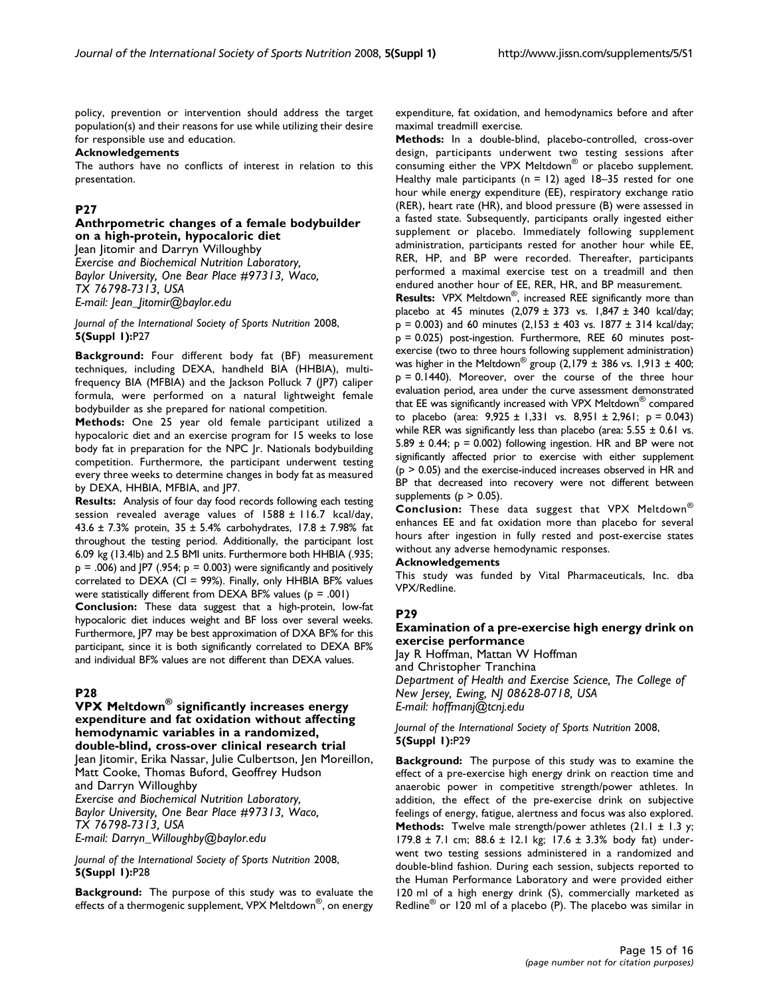policy, prevention or intervention should address the target population(s) and their reasons for use while utilizing their desire for responsible use and education.

# Acknowledgements

The authors have no conflicts of interest in relation to this presentation.

# P27

#### Anthrpometric changes of a female bodybuilder on a high-protein, hypocaloric diet

Jean Jitomir and Darryn Willoughby Exercise and Biochemical Nutrition Laboratory, Baylor University, One Bear Place #97313, Waco, TX 76798-7313, USA E-mail: Jean\_Jitomir@baylor.edu

Journal of the International Society of Sports Nutrition 2008, 5(Suppl 1):P27

Background: Four different body fat (BF) measurement techniques, including DEXA, handheld BIA (HHBIA), multifrequency BIA (MFBIA) and the Jackson Polluck 7 (JP7) caliper formula, were performed on a natural lightweight female bodybuilder as she prepared for national competition.

Methods: One 25 year old female participant utilized a hypocaloric diet and an exercise program for 15 weeks to lose body fat in preparation for the NPC |r. Nationals bodybuilding competition. Furthermore, the participant underwent testing every three weeks to determine changes in body fat as measured by DEXA, HHBIA, MFBIA, and JP7.

Results: Analysis of four day food records following each testing session revealed average values of  $1588 \pm 116.7$  kcal/day, 43.6  $\pm$  7.3% protein, 35  $\pm$  5.4% carbohydrates, 17.8  $\pm$  7.98% fat throughout the testing period. Additionally, the participant lost 6.09 kg (13.4lb) and 2.5 BMI units. Furthermore both HHBIA (.935;  $p = .006$ ) and JP7 (.954;  $p = 0.003$ ) were significantly and positively correlated to DEXA (CI = 99%). Finally, only HHBIA BF% values were statistically different from DEXA BF% values ( $p = .001$ )

Conclusion: These data suggest that a high-protein, low-fat hypocaloric diet induces weight and BF loss over several weeks. Furthermore, JP7 may be best approximation of DXA BF% for this participant, since it is both significantly correlated to DEXA BF% and individual BF% values are not different than DEXA values.

# P28

# **VPX Meltdown<sup>®</sup> significantly increases energy** expenditure and fat oxidation without affecting hemodynamic variables in a randomized, double-blind, cross-over clinical research trial Jean Jitomir, Erika Nassar, Julie Culbertson, Jen Moreillon, Matt Cooke, Thomas Buford, Geoffrey Hudson and Darryn Willoughby Exercise and Biochemical Nutrition Laboratory, Baylor University, One Bear Place #97313, Waco, TX 76798-7313, USA E-mail: Darryn\_Willoughby@baylor.edu

Journal of the International Society of Sports Nutrition 2008, 5(Suppl 1):P28

Background: The purpose of this study was to evaluate the effects of a thermogenic supplement, VPX Meltdown<sup>®</sup>, on energy expenditure, fat oxidation, and hemodynamics before and after maximal treadmill exercise.

Methods: In a double-blind, placebo-controlled, cross-over design, participants underwent two testing sessions after consuming either the VPX Meltdown® or placebo supplement. Healthy male participants ( $n = 12$ ) aged 18–35 rested for one hour while energy expenditure (EE), respiratory exchange ratio (RER), heart rate (HR), and blood pressure (B) were assessed in a fasted state. Subsequently, participants orally ingested either supplement or placebo. Immediately following supplement administration, participants rested for another hour while EE, RER, HP, and BP were recorded. Thereafter, participants performed a maximal exercise test on a treadmill and then endured another hour of EE, RER, HR, and BP measurement.

Results: VPX Meltdown®, increased REE significantly more than placebo at 45 minutes  $(2,079 \pm 373 \text{ vs. } 1,847 \pm 340 \text{ kcal/day};$  $p = 0.003$ ) and 60 minutes (2,153 ± 403 vs. 1877 ± 314 kcal/day; p = 0.025) post-ingestion. Furthermore, REE 60 minutes postexercise (two to three hours following supplement administration) was higher in the Meltdown<sup>®</sup> group  $(2,179 + 386)$  vs. 1,913  $\pm$  400; p = 0.1440). Moreover, over the course of the three hour evaluation period, area under the curve assessment demonstrated that EE was significantly increased with VPX Meltdown<sup>®</sup> compared to placebo (area:  $9,925 \pm 1,331$  vs.  $8,951 \pm 2,961$ ; p = 0.043) while RER was significantly less than placebo (area:  $5.55 \pm 0.61$  vs. 5.89  $\pm$  0.44; p = 0.002) following ingestion. HR and BP were not significantly affected prior to exercise with either supplement  $(p > 0.05)$  and the exercise-induced increases observed in HR and BP that decreased into recovery were not different between supplements ( $p > 0.05$ ).

**Conclusion:** These data suggest that VPX Meltdown<sup>®</sup> enhances EE and fat oxidation more than placebo for several hours after ingestion in fully rested and post-exercise states without any adverse hemodynamic responses.

# Acknowledgements

This study was funded by Vital Pharmaceuticals, Inc. dba VPX/Redline.

# P29

# Examination of a pre-exercise high energy drink on exercise performance

Jay R Hoffman, Mattan W Hoffman and Christopher Tranchina Department of Health and Exercise Science, The College of New Jersey, Ewing, NJ 08628-0718, USA E-mail: hoffmanj@tcnj.edu

Journal of the International Society of Sports Nutrition 2008, 5(Suppl 1):P29

Background: The purpose of this study was to examine the effect of a pre-exercise high energy drink on reaction time and anaerobic power in competitive strength/power athletes. In addition, the effect of the pre-exercise drink on subjective feelings of energy, fatigue, alertness and focus was also explored. **Methods:** Twelve male strength/power athletes  $(21.1 \pm 1.3 \text{ y};$ 179.8  $\pm$  7.1 cm; 88.6  $\pm$  12.1 kg; 17.6  $\pm$  3.3% body fat) underwent two testing sessions administered in a randomized and double-blind fashion. During each session, subjects reported to the Human Performance Laboratory and were provided either 120 ml of a high energy drink (S), commercially marketed as Redline<sup>®</sup> or 120 ml of a placebo (P). The placebo was similar in